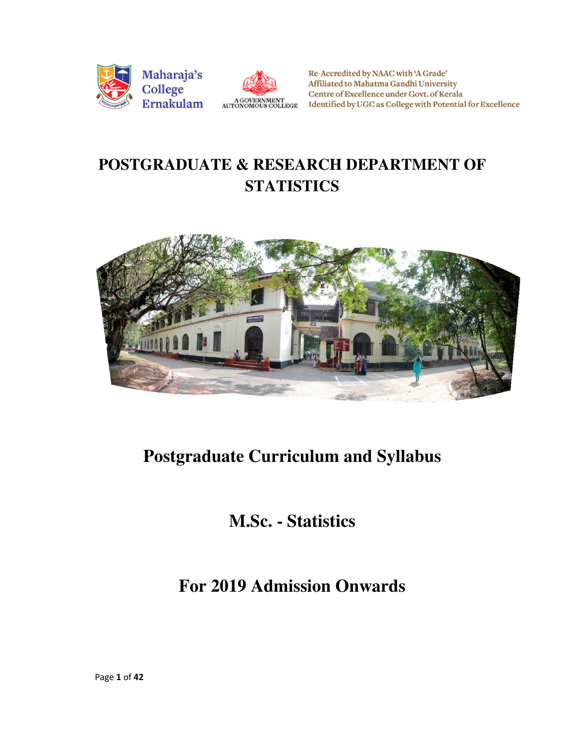



Re-Accredited by NAAC with 'A Grade' Affiliated to Mahatma Gandhi University Centre of Excellence under Govt. of Kerala Identified by UGC as College with Potential for Excellence

# **POSTGRADUATE & RESEARCH DEPARTMENT OF STATISTICS**



# **Postgraduate Curriculum and Syllabus**

# **M.Sc. - Statistics**

# **For 2019 Admission Onwards**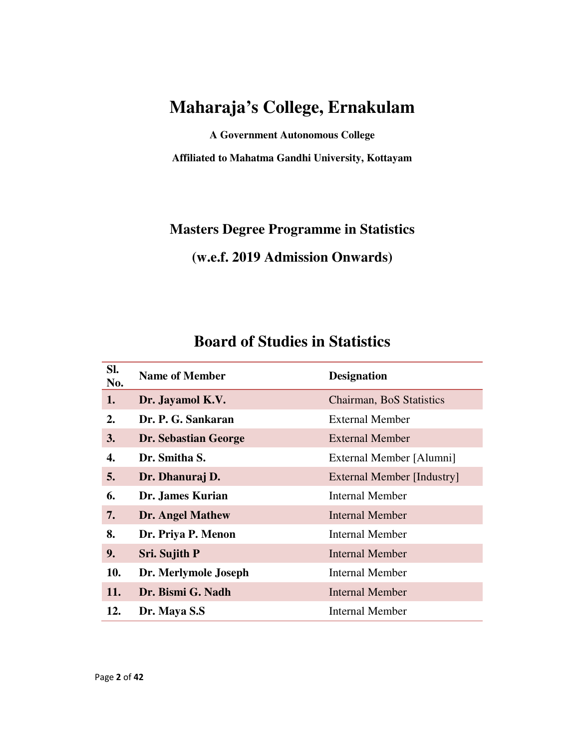# **Maharaja's College, Ernakulam**

**A Government Autonomous College Affiliated to Mahatma Gandhi University, Kottayam** 

**Masters Degree Programme in Statistics (w.e.f. 2019 Admission Onwards)** 

# **Board of Studies in Statistics**

| SI.<br>No. | <b>Name of Member</b>       | <b>Designation</b>         |
|------------|-----------------------------|----------------------------|
| 1.         | Dr. Jayamol K.V.            | Chairman, BoS Statistics   |
| 2.         | Dr. P. G. Sankaran          | <b>External Member</b>     |
| 3.         | <b>Dr. Sebastian George</b> | <b>External Member</b>     |
| 4.         | Dr. Smitha S.               | External Member [Alumni]   |
| 5.         | Dr. Dhanuraj D.             | External Member [Industry] |
| 6.         | Dr. James Kurian            | <b>Internal Member</b>     |
| 7.         | <b>Dr. Angel Mathew</b>     | Internal Member            |
| 8.         | Dr. Priya P. Menon          | <b>Internal Member</b>     |
| 9.         | Sri. Sujith P               | Internal Member            |
| 10.        | Dr. Merlymole Joseph        | <b>Internal Member</b>     |
| 11.        | Dr. Bismi G. Nadh           | Internal Member            |
| 12.        | Dr. Maya S.S                | Internal Member            |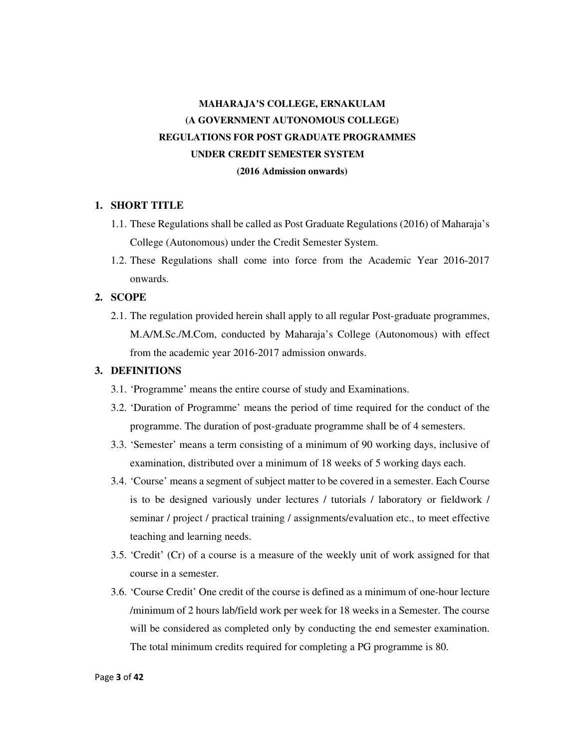# **MAHARAJA'S COLLEGE, ERNAKULAM (A GOVERNMENT AUTONOMOUS COLLEGE) REGULATIONS FOR POST GRADUATE PROGRAMMES UNDER CREDIT SEMESTER SYSTEM (2016 Admission onwards)**

#### **1. SHORT TITLE**

- 1.1. These Regulations shall be called as Post Graduate Regulations (2016) of Maharaja's College (Autonomous) under the Credit Semester System.
- 1.2. These Regulations shall come into force from the Academic Year 2016-2017 onwards.

#### **2. SCOPE**

2.1. The regulation provided herein shall apply to all regular Post-graduate programmes, M.A/M.Sc./M.Com, conducted by Maharaja's College (Autonomous) with effect from the academic year 2016-2017 admission onwards.

#### **3. DEFINITIONS**

- 3.1. 'Programme' means the entire course of study and Examinations.
- 3.2. 'Duration of Programme' means the period of time required for the conduct of the programme. The duration of post-graduate programme shall be of 4 semesters.
- 3.3. 'Semester' means a term consisting of a minimum of 90 working days, inclusive of examination, distributed over a minimum of 18 weeks of 5 working days each.
- 3.4. 'Course' means a segment of subject matter to be covered in a semester. Each Course is to be designed variously under lectures / tutorials / laboratory or fieldwork / seminar / project / practical training / assignments/evaluation etc., to meet effective teaching and learning needs.
- 3.5. 'Credit' (Cr) of a course is a measure of the weekly unit of work assigned for that course in a semester.
- 3.6. 'Course Credit' One credit of the course is defined as a minimum of one-hour lecture /minimum of 2 hours lab/field work per week for 18 weeks in a Semester. The course will be considered as completed only by conducting the end semester examination. The total minimum credits required for completing a PG programme is 80.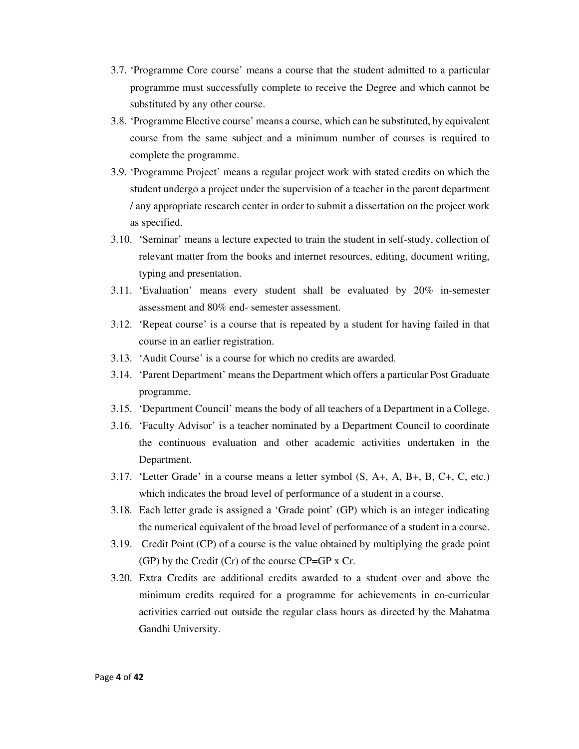- 3.7. 'Programme Core course' means a course that the student admitted to a particular programme must successfully complete to receive the Degree and which cannot be substituted by any other course.
- 3.8. 'Programme Elective course' means a course, which can be substituted, by equivalent course from the same subject and a minimum number of courses is required to complete the programme.
- 3.9. 'Programme Project' means a regular project work with stated credits on which the student undergo a project under the supervision of a teacher in the parent department / any appropriate research center in order to submit a dissertation on the project work as specified.
- 3.10. 'Seminar' means a lecture expected to train the student in self-study, collection of relevant matter from the books and internet resources, editing, document writing, typing and presentation.
- 3.11. 'Evaluation' means every student shall be evaluated by 20% in-semester assessment and 80% end- semester assessment.
- 3.12. 'Repeat course' is a course that is repeated by a student for having failed in that course in an earlier registration.
- 3.13. 'Audit Course' is a course for which no credits are awarded.
- 3.14. 'Parent Department' means the Department which offers a particular Post Graduate programme.
- 3.15. 'Department Council' means the body of all teachers of a Department in a College.
- 3.16. 'Faculty Advisor' is a teacher nominated by a Department Council to coordinate the continuous evaluation and other academic activities undertaken in the Department.
- 3.17. 'Letter Grade' in a course means a letter symbol (S, A+, A, B+, B, C+, C, etc.) which indicates the broad level of performance of a student in a course.
- 3.18. Each letter grade is assigned a 'Grade point' (GP) which is an integer indicating the numerical equivalent of the broad level of performance of a student in a course.
- 3.19. Credit Point (CP) of a course is the value obtained by multiplying the grade point (GP) by the Credit (Cr) of the course CP=GP x Cr.
- 3.20. Extra Credits are additional credits awarded to a student over and above the minimum credits required for a programme for achievements in co-curricular activities carried out outside the regular class hours as directed by the Mahatma Gandhi University.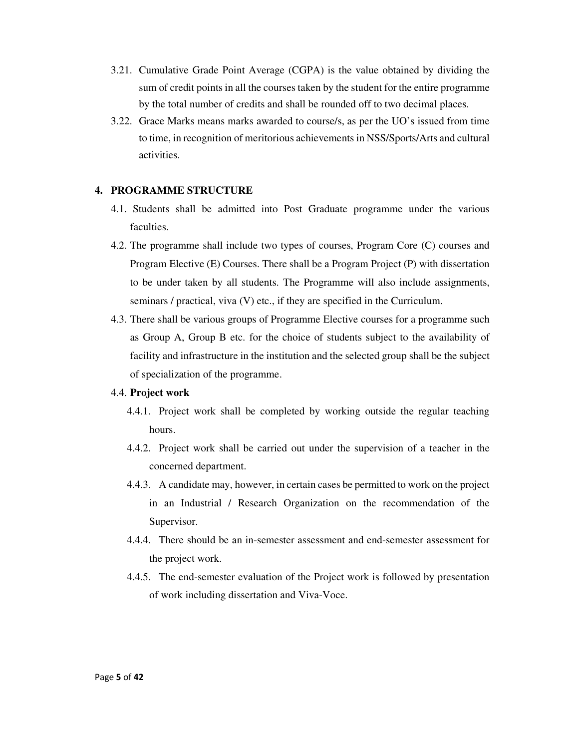- 3.21. Cumulative Grade Point Average (CGPA) is the value obtained by dividing the sum of credit points in all the courses taken by the student for the entire programme by the total number of credits and shall be rounded off to two decimal places.
- 3.22. Grace Marks means marks awarded to course/s, as per the UO's issued from time to time, in recognition of meritorious achievements in NSS/Sports/Arts and cultural activities.

## **4. PROGRAMME STRUCTURE**

- 4.1. Students shall be admitted into Post Graduate programme under the various faculties.
- 4.2. The programme shall include two types of courses, Program Core (C) courses and Program Elective (E) Courses. There shall be a Program Project (P) with dissertation to be under taken by all students. The Programme will also include assignments, seminars / practical, viva (V) etc., if they are specified in the Curriculum.
- 4.3. There shall be various groups of Programme Elective courses for a programme such as Group A, Group B etc. for the choice of students subject to the availability of facility and infrastructure in the institution and the selected group shall be the subject of specialization of the programme.

#### 4.4. **Project work**

- 4.4.1. Project work shall be completed by working outside the regular teaching hours.
- 4.4.2. Project work shall be carried out under the supervision of a teacher in the concerned department.
- 4.4.3. A candidate may, however, in certain cases be permitted to work on the project in an Industrial / Research Organization on the recommendation of the Supervisor.
- 4.4.4. There should be an in-semester assessment and end-semester assessment for the project work.
- 4.4.5. The end-semester evaluation of the Project work is followed by presentation of work including dissertation and Viva-Voce.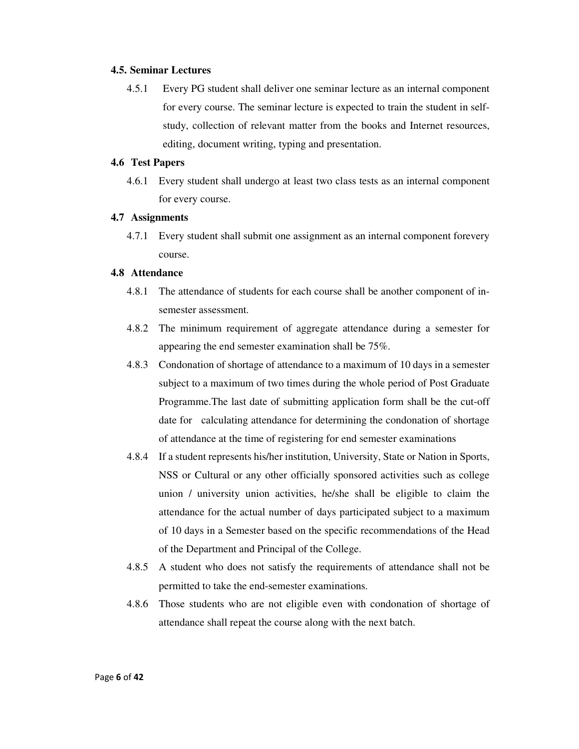#### **4.5. Seminar Lectures**

4.5.1 Every PG student shall deliver one seminar lecture as an internal component for every course. The seminar lecture is expected to train the student in selfstudy, collection of relevant matter from the books and Internet resources, editing, document writing, typing and presentation.

#### **4.6 Test Papers**

4.6.1 Every student shall undergo at least two class tests as an internal component for every course.

#### **4.7 Assignments**

4.7.1 Every student shall submit one assignment as an internal component forevery course.

#### **4.8 Attendance**

- 4.8.1 The attendance of students for each course shall be another component of insemester assessment.
- 4.8.2 The minimum requirement of aggregate attendance during a semester for appearing the end semester examination shall be 75%.
- 4.8.3 Condonation of shortage of attendance to a maximum of 10 days in a semester subject to a maximum of two times during the whole period of Post Graduate Programme.The last date of submitting application form shall be the cut-off date for calculating attendance for determining the condonation of shortage of attendance at the time of registering for end semester examinations
- 4.8.4 If a student represents his/her institution, University, State or Nation in Sports, NSS or Cultural or any other officially sponsored activities such as college union / university union activities, he/she shall be eligible to claim the attendance for the actual number of days participated subject to a maximum of 10 days in a Semester based on the specific recommendations of the Head of the Department and Principal of the College.
- 4.8.5 A student who does not satisfy the requirements of attendance shall not be permitted to take the end-semester examinations.
- 4.8.6 Those students who are not eligible even with condonation of shortage of attendance shall repeat the course along with the next batch.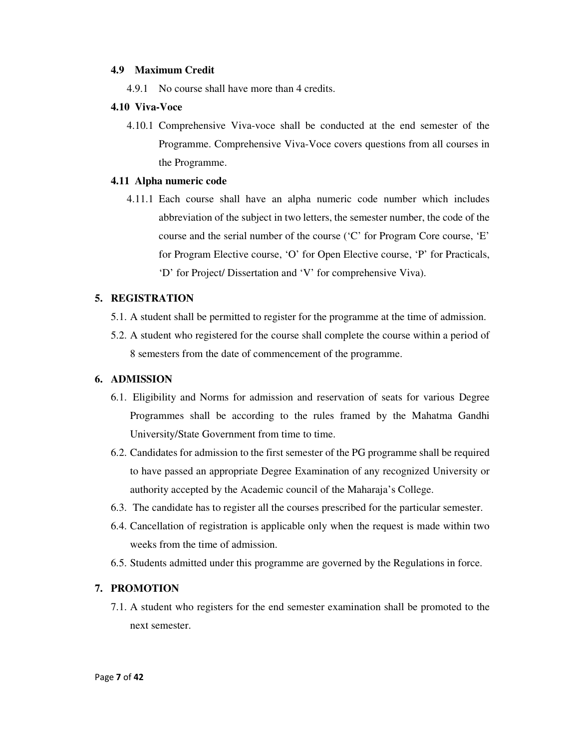#### **4.9 Maximum Credit**

4.9.1 No course shall have more than 4 credits.

#### **4.10 Viva-Voce**

4.10.1 Comprehensive Viva-voce shall be conducted at the end semester of the Programme. Comprehensive Viva-Voce covers questions from all courses in the Programme.

#### **4.11 Alpha numeric code**

4.11.1 Each course shall have an alpha numeric code number which includes abbreviation of the subject in two letters, the semester number, the code of the course and the serial number of the course ('C' for Program Core course, 'E' for Program Elective course, 'O' for Open Elective course, 'P' for Practicals, 'D' for Project/ Dissertation and 'V' for comprehensive Viva).

#### **5. REGISTRATION**

- 5.1. A student shall be permitted to register for the programme at the time of admission.
- 5.2. A student who registered for the course shall complete the course within a period of 8 semesters from the date of commencement of the programme.

#### **6. ADMISSION**

- 6.1. Eligibility and Norms for admission and reservation of seats for various Degree Programmes shall be according to the rules framed by the Mahatma Gandhi University/State Government from time to time.
- 6.2. Candidates for admission to the first semester of the PG programme shall be required to have passed an appropriate Degree Examination of any recognized University or authority accepted by the Academic council of the Maharaja's College.
- 6.3. The candidate has to register all the courses prescribed for the particular semester.
- 6.4. Cancellation of registration is applicable only when the request is made within two weeks from the time of admission.
- 6.5. Students admitted under this programme are governed by the Regulations in force.

#### **7. PROMOTION**

7.1. A student who registers for the end semester examination shall be promoted to the next semester.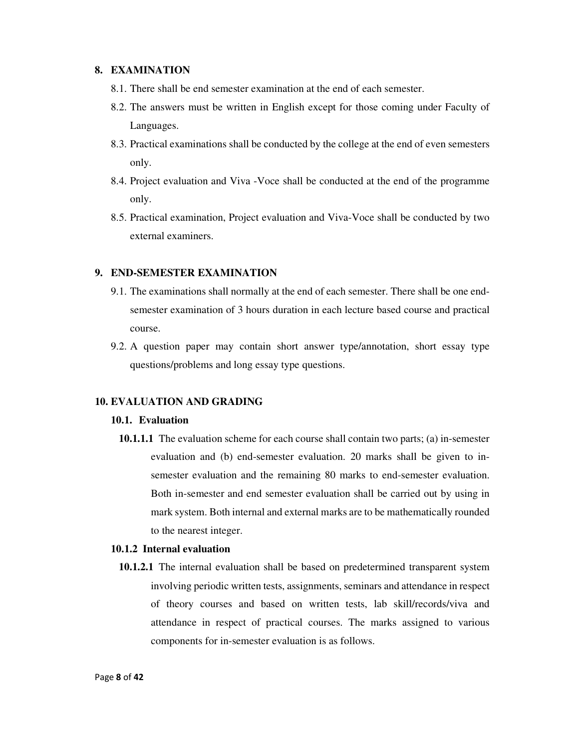#### **8. EXAMINATION**

- 8.1. There shall be end semester examination at the end of each semester.
- 8.2. The answers must be written in English except for those coming under Faculty of Languages.
- 8.3. Practical examinations shall be conducted by the college at the end of even semesters only.
- 8.4. Project evaluation and Viva -Voce shall be conducted at the end of the programme only.
- 8.5. Practical examination, Project evaluation and Viva-Voce shall be conducted by two external examiners.

#### **9. END-SEMESTER EXAMINATION**

- 9.1. The examinations shall normally at the end of each semester. There shall be one endsemester examination of 3 hours duration in each lecture based course and practical course.
- 9.2. A question paper may contain short answer type/annotation, short essay type questions/problems and long essay type questions.

#### **10. EVALUATION AND GRADING**

#### **10.1. Evaluation**

**10.1.1.1** The evaluation scheme for each course shall contain two parts; (a) in-semester evaluation and (b) end-semester evaluation. 20 marks shall be given to insemester evaluation and the remaining 80 marks to end-semester evaluation. Both in-semester and end semester evaluation shall be carried out by using in mark system. Both internal and external marks are to be mathematically rounded to the nearest integer.

#### **10.1.2 Internal evaluation**

**10.1.2.1** The internal evaluation shall be based on predetermined transparent system involving periodic written tests, assignments, seminars and attendance in respect of theory courses and based on written tests, lab skill/records/viva and attendance in respect of practical courses. The marks assigned to various components for in-semester evaluation is as follows.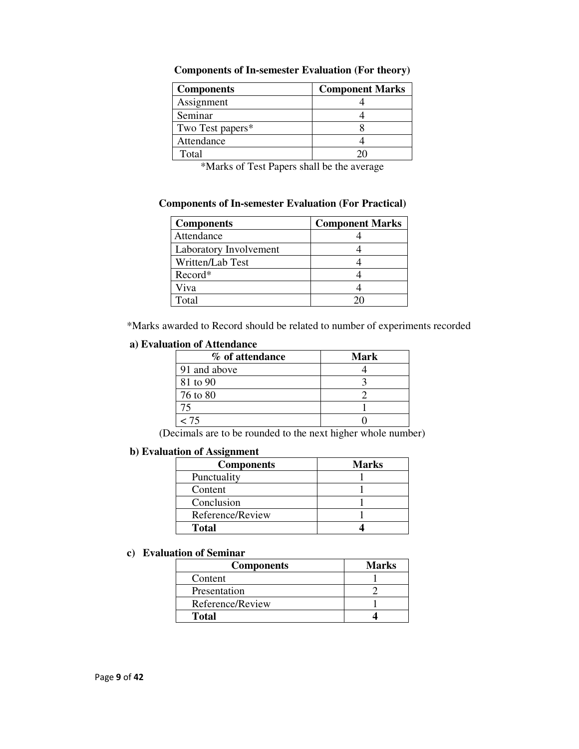| <b>Components</b>            | <b>Component Marks</b> |  |
|------------------------------|------------------------|--|
| Assignment                   |                        |  |
| Seminar                      |                        |  |
| Two Test papers <sup>*</sup> |                        |  |
| Attendance                   |                        |  |
| Total                        |                        |  |

**Components of In-semester Evaluation (For theory)** 

\*Marks of Test Papers shall be the average

#### **Components of In-semester Evaluation (For Practical)**

| <b>Components</b>      | <b>Component Marks</b> |
|------------------------|------------------------|
| Attendance             |                        |
| Laboratory Involvement |                        |
| Written/Lab Test       |                        |
| Record*                |                        |
| Viva                   |                        |
| Total                  |                        |

\*Marks awarded to Record should be related to number of experiments recorded

#### **a) Evaluation of Attendance**

| % of attendance | Mark |
|-----------------|------|
| 91 and above    |      |
| 81 to 90        |      |
| 76 to 80        |      |
|                 |      |
| - 75            |      |

(Decimals are to be rounded to the next higher whole number)

#### **b) Evaluation of Assignment**

| <b>Components</b> | <b>Marks</b> |
|-------------------|--------------|
| Punctuality       |              |
| Content           |              |
| Conclusion        |              |
| Reference/Review  |              |
| Total             |              |

## **c) Evaluation of Seminar**

| <b>Components</b> | <b>Marks</b> |
|-------------------|--------------|
| Content           |              |
| Presentation      |              |
| Reference/Review  |              |
| Total             |              |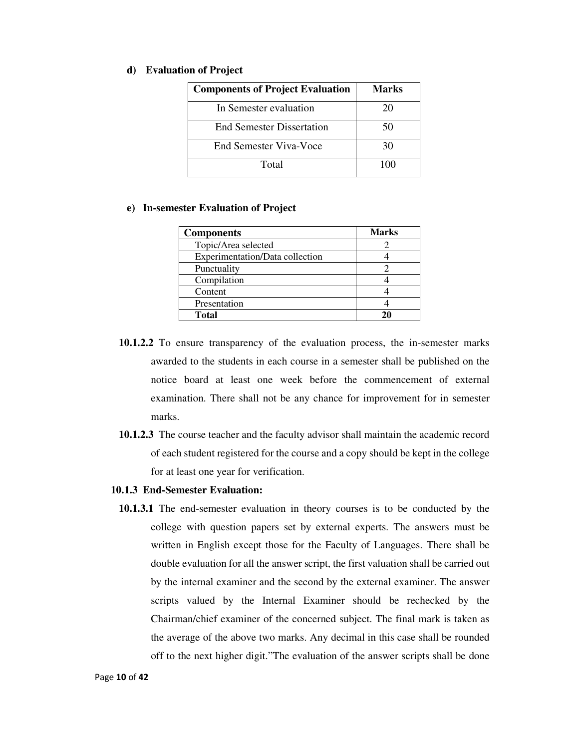#### **d) Evaluation of Project**

| <b>Components of Project Evaluation</b> | Marks |
|-----------------------------------------|-------|
| In Semester evaluation                  | 20    |
| <b>End Semester Dissertation</b>        | 50    |
| End Semester Viva-Voce                  | 30    |
| Total                                   | 100   |

#### **e) In-semester Evaluation of Project**

| <b>Components</b>               | <b>Marks</b> |
|---------------------------------|--------------|
| Topic/Area selected             |              |
| Experimentation/Data collection |              |
| Punctuality                     |              |
| Compilation                     |              |
| Content                         |              |
| Presentation                    |              |
| Total                           | 20           |

- **10.1.2.2** To ensure transparency of the evaluation process, the in-semester marks awarded to the students in each course in a semester shall be published on the notice board at least one week before the commencement of external examination. There shall not be any chance for improvement for in semester marks.
- **10.1.2.3** The course teacher and the faculty advisor shall maintain the academic record of each student registered for the course and a copy should be kept in the college for at least one year for verification.

#### **10.1.3 End-Semester Evaluation:**

**10.1.3.1** The end-semester evaluation in theory courses is to be conducted by the college with question papers set by external experts. The answers must be written in English except those for the Faculty of Languages. There shall be double evaluation for all the answer script, the first valuation shall be carried out by the internal examiner and the second by the external examiner. The answer scripts valued by the Internal Examiner should be rechecked by the Chairman/chief examiner of the concerned subject. The final mark is taken as the average of the above two marks. Any decimal in this case shall be rounded off to the next higher digit."The evaluation of the answer scripts shall be done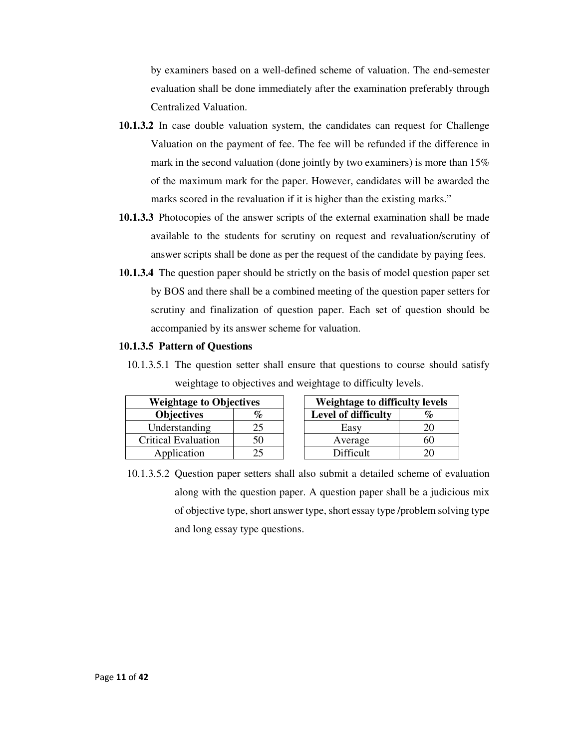by examiners based on a well-defined scheme of valuation. The end-semester evaluation shall be done immediately after the examination preferably through Centralized Valuation.

- **10.1.3.2** In case double valuation system, the candidates can request for Challenge Valuation on the payment of fee. The fee will be refunded if the difference in mark in the second valuation (done jointly by two examiners) is more than 15% of the maximum mark for the paper. However, candidates will be awarded the marks scored in the revaluation if it is higher than the existing marks."
- **10.1.3.3** Photocopies of the answer scripts of the external examination shall be made available to the students for scrutiny on request and revaluation/scrutiny of answer scripts shall be done as per the request of the candidate by paying fees.
- **10.1.3.4** The question paper should be strictly on the basis of model question paper set by BOS and there shall be a combined meeting of the question paper setters for scrutiny and finalization of question paper. Each set of question should be accompanied by its answer scheme for valuation.

#### **10.1.3.5 Pattern of Questions**

10.1.3.5.1 The question setter shall ensure that questions to course should satisfy weightage to objectives and weightage to difficulty levels.

| <b>Weightage to Objectives</b> |      | Weightage to difficulty lev |    |
|--------------------------------|------|-----------------------------|----|
| <b>Objectives</b>              | $\%$ | Level of difficulty         | %  |
| Understanding                  | 25   | Easy                        | 20 |
| <b>Critical Evaluation</b>     | 50   | Average                     | 60 |
| Application                    |      | <b>Difficult</b>            |    |

| <b>Weightage to Objectives</b> |    |  | <b>Weightage to difficulty levels</b> |    |  |
|--------------------------------|----|--|---------------------------------------|----|--|
| <b>Objectives</b>              | %  |  | Level of difficulty                   |    |  |
| Understanding                  |    |  | Easv                                  |    |  |
| itical Evaluation              | 50 |  | Average                               | hU |  |
| Application                    |    |  | Difficult                             |    |  |

10.1.3.5.2 Question paper setters shall also submit a detailed scheme of evaluation along with the question paper. A question paper shall be a judicious mix of objective type, short answer type, short essay type /problem solving type and long essay type questions.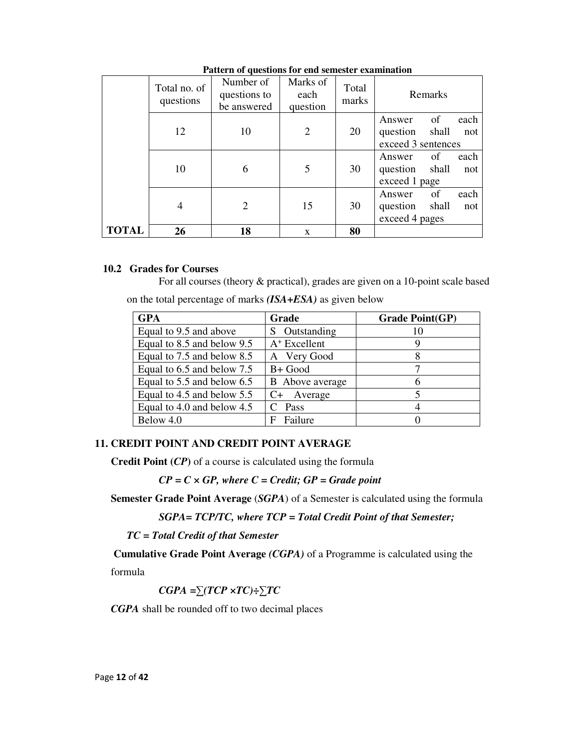|              | Total no. of<br>questions | Number of<br>questions to<br>be answered | Marks of<br>each<br>question | Total<br>marks | Remarks                                                                |
|--------------|---------------------------|------------------------------------------|------------------------------|----------------|------------------------------------------------------------------------|
|              | 12                        | 10                                       | $\overline{2}$               | 20             | of<br>each<br>Answer<br>shall<br>question<br>not<br>exceed 3 sentences |
|              | 10                        | 6                                        | 5                            | 30             | of<br>each<br>Answer<br>shall<br>question<br>not<br>exceed 1 page      |
|              | 4                         | 2                                        | 15                           | 30             | of<br>each<br>Answer<br>shall<br>question<br>not<br>exceed 4 pages     |
| <b>TOTAL</b> | 26                        | 18                                       | $\mathbf{x}$                 | 80             |                                                                        |

 **Pattern of questions for end semester examination** 

#### **10.2 Grades for Courses**

For all courses (theory & practical), grades are given on a 10-point scale based on the total percentage of marks *(ISA+ESA)* as given below

| <b>GPA</b>                 | Grade                  | <b>Grade Point(GP)</b> |
|----------------------------|------------------------|------------------------|
| Equal to 9.5 and above     | Outstanding            |                        |
| Equal to 8.5 and below 9.5 | $A+$ Excellent         |                        |
| Equal to 7.5 and below 8.5 | A Very Good            |                        |
| Equal to 6.5 and below 7.5 | B+ Good                |                        |
| Equal to 5.5 and below 6.5 | <b>B</b> Above average |                        |
| Equal to 4.5 and below 5.5 | Average<br>$C+$        |                        |
| Equal to 4.0 and below 4.5 | Pass                   |                        |
| Below 4.0                  | Failure<br>F           |                        |

## **11. CREDIT POINT AND CREDIT POINT AVERAGE**

 **Credit Point (***CP***)** of a course is calculated using the formula

 *CP = C × GP, where C = Credit; GP = Grade point*

**Semester Grade Point Average** (*SGPA*) of a Semester is calculated using the formula

```
SGPA= TCP/TC, where TCP = Total Credit Point of that Semester;
```
 *TC = Total Credit of that Semester* 

**Cumulative Grade Point Average** *(CGPA)* of a Programme is calculated using the

formula

*CGPA =∑(TCP ×TC)÷∑TC* 

*CGPA* shall be rounded off to two decimal places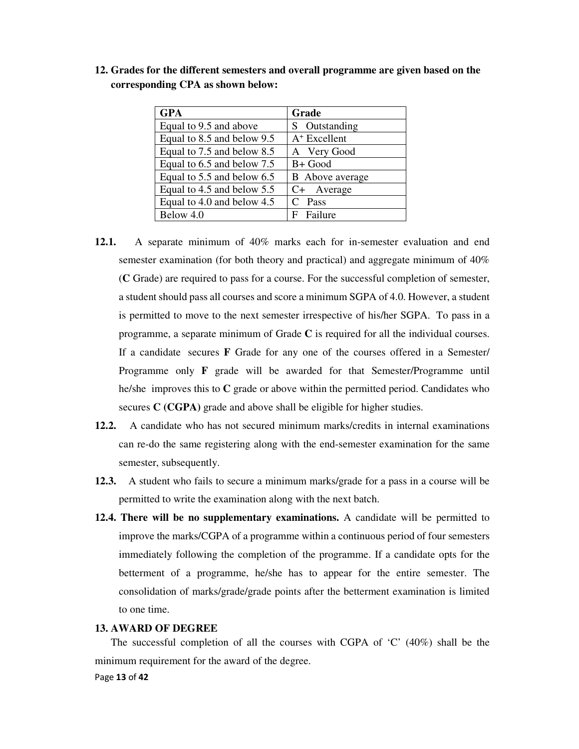| <b>GPA</b>                 | Grade                  |
|----------------------------|------------------------|
| Equal to 9.5 and above     | S Outstanding          |
| Equal to 8.5 and below 9.5 | $A+$ Excellent         |
| Equal to 7.5 and below 8.5 | A Very Good            |
| Equal to 6.5 and below 7.5 | B+ Good                |
| Equal to 5.5 and below 6.5 | <b>B</b> Above average |
| Equal to 4.5 and below 5.5 | C+ Average             |
| Equal to 4.0 and below 4.5 | Pass                   |
| Below 4.0                  | Failure<br>F           |

**12. Grades for the different semesters and overall programme are given based on the corresponding CPA as shown below:** 

- **12.1.** A separate minimum of 40% marks each for in-semester evaluation and end semester examination (for both theory and practical) and aggregate minimum of 40% (**C** Grade) are required to pass for a course. For the successful completion of semester, a student should pass all courses and score a minimum SGPA of 4.0. However, a student is permitted to move to the next semester irrespective of his/her SGPA. To pass in a programme, a separate minimum of Grade **C** is required for all the individual courses. If a candidate secures **F** Grade for any one of the courses offered in a Semester/ Programme only **F** grade will be awarded for that Semester/Programme until he/she improves this to **C** grade or above within the permitted period. Candidates who secures **C (CGPA)** grade and above shall be eligible for higher studies.
- **12.2.** A candidate who has not secured minimum marks/credits in internal examinations can re-do the same registering along with the end-semester examination for the same semester, subsequently.
- **12.3.** A student who fails to secure a minimum marks/grade for a pass in a course will be permitted to write the examination along with the next batch.
- **12.4. There will be no supplementary examinations.** A candidate will be permitted to improve the marks/CGPA of a programme within a continuous period of four semesters immediately following the completion of the programme. If a candidate opts for the betterment of a programme, he/she has to appear for the entire semester. The consolidation of marks/grade/grade points after the betterment examination is limited to one time.

#### **13. AWARD OF DEGREE**

The successful completion of all the courses with CGPA of  $\degree$ C' (40%) shall be the minimum requirement for the award of the degree.

#### Page **13** of **42**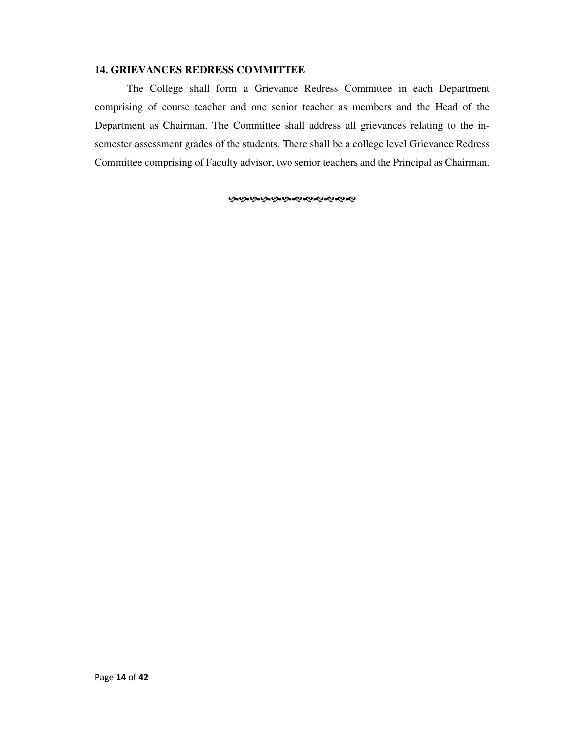#### **14. GRIEVANCES REDRESS COMMITTEE**

 The College shall form a Grievance Redress Committee in each Department comprising of course teacher and one senior teacher as members and the Head of the Department as Chairman. The Committee shall address all grievances relating to the insemester assessment grades of the students. There shall be a college level Grievance Redress Committee comprising of Faculty advisor, two senior teachers and the Principal as Chairman.

**ଜଙ୍ଗଙ୍ଗଙ୍ଗଙ୍ଗ**ଶ୍ୟେଶ୍ୟକ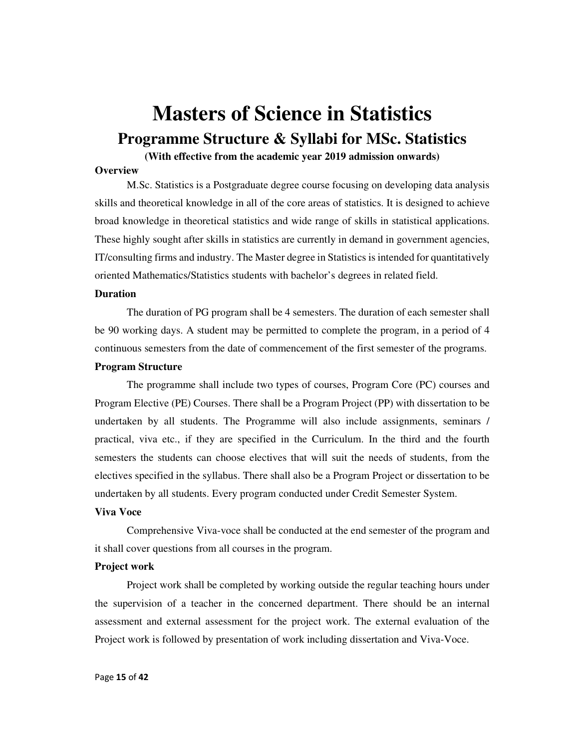# **Masters of Science in Statistics Programme Structure & Syllabi for MSc. Statistics**

#### **(With effective from the academic year 2019 admission onwards)**

#### **Overview**

M.Sc. Statistics is a Postgraduate degree course focusing on developing data analysis skills and theoretical knowledge in all of the core areas of statistics. It is designed to achieve broad knowledge in theoretical statistics and wide range of skills in statistical applications. These highly sought after skills in statistics are currently in demand in government agencies, IT/consulting firms and industry. The Master degree in Statistics is intended for quantitatively oriented Mathematics/Statistics students with bachelor's degrees in related field.

#### **Duration**

The duration of PG program shall be 4 semesters. The duration of each semester shall be 90 working days. A student may be permitted to complete the program, in a period of 4 continuous semesters from the date of commencement of the first semester of the programs.

#### **Program Structure**

The programme shall include two types of courses, Program Core (PC) courses and Program Elective (PE) Courses. There shall be a Program Project (PP) with dissertation to be undertaken by all students. The Programme will also include assignments, seminars / practical, viva etc., if they are specified in the Curriculum. In the third and the fourth semesters the students can choose electives that will suit the needs of students, from the electives specified in the syllabus. There shall also be a Program Project or dissertation to be undertaken by all students. Every program conducted under Credit Semester System.

#### **Viva Voce**

Comprehensive Viva-voce shall be conducted at the end semester of the program and it shall cover questions from all courses in the program.

#### **Project work**

Project work shall be completed by working outside the regular teaching hours under the supervision of a teacher in the concerned department. There should be an internal assessment and external assessment for the project work. The external evaluation of the Project work is followed by presentation of work including dissertation and Viva-Voce.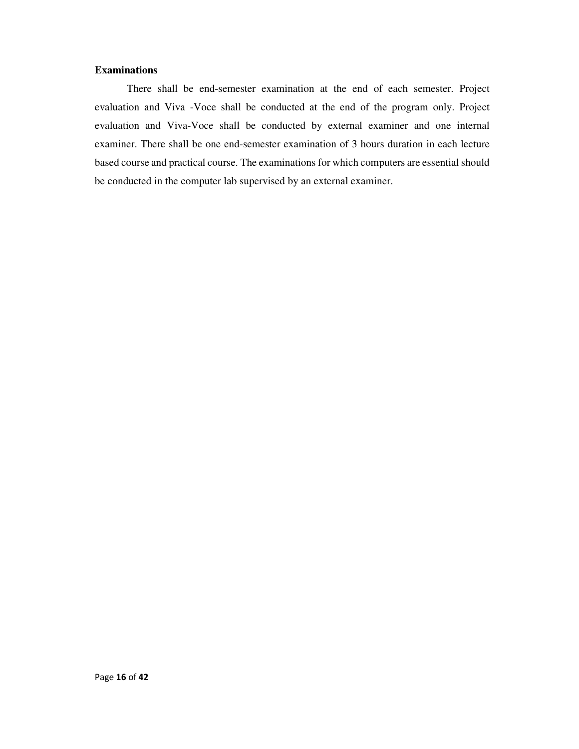#### **Examinations**

There shall be end-semester examination at the end of each semester. Project evaluation and Viva -Voce shall be conducted at the end of the program only. Project evaluation and Viva-Voce shall be conducted by external examiner and one internal examiner. There shall be one end-semester examination of 3 hours duration in each lecture based course and practical course. The examinations for which computers are essential should be conducted in the computer lab supervised by an external examiner.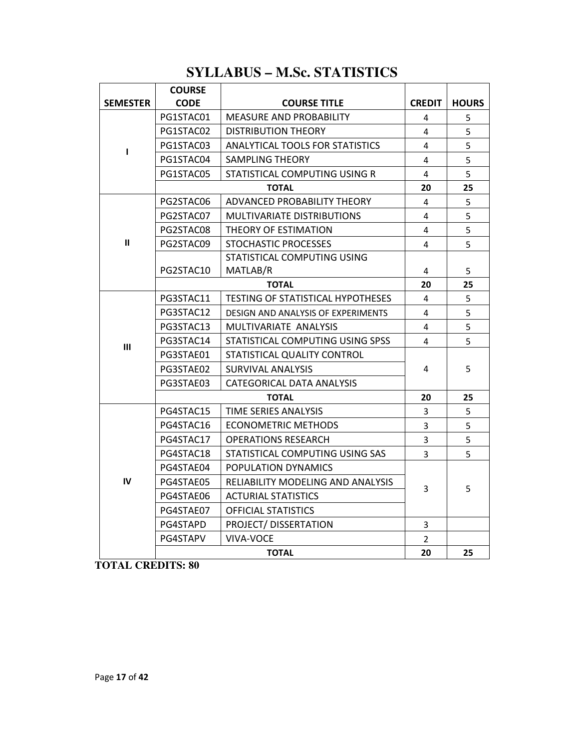# **SYLLABUS – M.Sc. STATISTICS**

|                 | <b>COURSE</b> |                                    |                |              |
|-----------------|---------------|------------------------------------|----------------|--------------|
| <b>SEMESTER</b> | <b>CODE</b>   | <b>COURSE TITLE</b>                | <b>CREDIT</b>  | <b>HOURS</b> |
| ı               | PG1STAC01     | <b>MEASURE AND PROBABILITY</b>     | 4              | 5            |
|                 | PG1STAC02     | <b>DISTRIBUTION THEORY</b>         | 4              | 5            |
|                 | PG1STAC03     | ANALYTICAL TOOLS FOR STATISTICS    | 4              | 5            |
|                 | PG1STAC04     | <b>SAMPLING THEORY</b>             | 4              | 5            |
|                 | PG1STAC05     | STATISTICAL COMPUTING USING R      | 4              | 5            |
|                 | <b>TOTAL</b>  |                                    | 20             | 25           |
| $\mathbf{u}$    | PG2STAC06     | ADVANCED PROBABILITY THEORY        | 4              | 5            |
|                 | PG2STAC07     | <b>MULTIVARIATE DISTRIBUTIONS</b>  | 4              | 5            |
|                 | PG2STAC08     | THEORY OF ESTIMATION               | 4              | 5            |
|                 | PG2STAC09     | STOCHASTIC PROCESSES               | 4              | 5            |
|                 |               | STATISTICAL COMPUTING USING        |                |              |
|                 | PG2STAC10     | MATLAB/R                           | 4              | 5            |
|                 | <b>TOTAL</b>  |                                    | 20             | 25           |
| Ш               | PG3STAC11     | TESTING OF STATISTICAL HYPOTHESES  | 4              | 5            |
|                 | PG3STAC12     | DESIGN AND ANALYSIS OF EXPERIMENTS | 4              | 5            |
|                 | PG3STAC13     | MULTIVARIATE ANALYSIS              | 4              | 5            |
|                 | PG3STAC14     | STATISTICAL COMPUTING USING SPSS   | 4              | 5            |
|                 | PG3STAE01     | STATISTICAL QUALITY CONTROL        |                |              |
|                 | PG3STAE02     | SURVIVAL ANALYSIS                  | 4              | 5            |
|                 | PG3STAE03     | CATEGORICAL DATA ANALYSIS          |                |              |
|                 | <b>TOTAL</b>  |                                    | 20             | 25           |
| IV              | PG4STAC15     | TIME SERIES ANALYSIS               | 3              | 5            |
|                 | PG4STAC16     | <b>ECONOMETRIC METHODS</b>         | 3              | 5            |
|                 | PG4STAC17     | <b>OPERATIONS RESEARCH</b>         | 3              | 5            |
|                 | PG4STAC18     | STATISTICAL COMPUTING USING SAS    | $\overline{3}$ | 5            |
|                 | PG4STAE04     | POPULATION DYNAMICS                |                |              |
|                 | PG4STAE05     | RELIABILITY MODELING AND ANALYSIS  | 3              | 5            |
|                 | PG4STAE06     | <b>ACTURIAL STATISTICS</b>         |                |              |
|                 | PG4STAE07     | <b>OFFICIAL STATISTICS</b>         |                |              |
|                 | PG4STAPD      | PROJECT/DISSERTATION               | 3              |              |
|                 | PG4STAPV      | VIVA-VOCE                          | $\overline{2}$ |              |
|                 |               | <b>TOTAL</b>                       | 20             | 25           |

**TOTAL CREDITS: 80**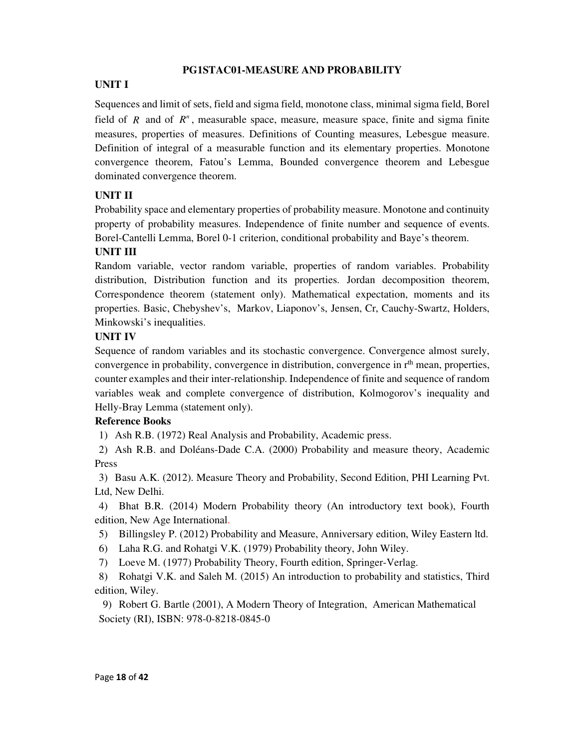## **PG1STAC01-MEASURE AND PROBABILITY**

## **UNIT I**

Sequences and limit of sets, field and sigma field, monotone class, minimal sigma field, Borel field of  $R$  and of  $R<sup>n</sup>$ , measurable space, measure, measure space, finite and sigma finite measures, properties of measures. Definitions of Counting measures, Lebesgue measure. Definition of integral of a measurable function and its elementary properties. Monotone convergence theorem, Fatou's Lemma, Bounded convergence theorem and Lebesgue dominated convergence theorem.

## **UNIT II**

Probability space and elementary properties of probability measure. Monotone and continuity property of probability measures. Independence of finite number and sequence of events. Borel-Cantelli Lemma, Borel 0-1 criterion, conditional probability and Baye's theorem.

## **UNIT III**

Random variable, vector random variable, properties of random variables. Probability distribution, Distribution function and its properties. Jordan decomposition theorem, Correspondence theorem (statement only). Mathematical expectation, moments and its properties. Basic, Chebyshev's, Markov, Liaponov's, Jensen, Cr, Cauchy-Swartz, Holders, Minkowski's inequalities.

#### **UNIT IV**

Sequence of random variables and its stochastic convergence. Convergence almost surely, convergence in probability, convergence in distribution, convergence in  $r<sup>th</sup>$  mean, properties, counter examples and their inter-relationship. Independence of finite and sequence of random variables weak and complete convergence of distribution, Kolmogorov's inequality and Helly-Bray Lemma (statement only).

## **Reference Books**

1) Ash R.B. (1972) Real Analysis and Probability, Academic press.

2) Ash R.B. and Doléans-Dade C.A. (2000) Probability and measure theory, Academic Press

3) Basu A.K. (2012). Measure Theory and Probability, Second Edition, PHI Learning Pvt. Ltd, New Delhi.

4) Bhat B.R. (2014) Modern Probability theory (An introductory text book), Fourth edition, New Age International.

- 5) Billingsley P. (2012) Probability and Measure, Anniversary edition, Wiley Eastern ltd.
- 6) Laha R.G. and Rohatgi V.K. (1979) Probability theory, John Wiley.
- 7) Loeve M. (1977) Probability Theory, Fourth edition, Springer-Verlag.

8) Rohatgi V.K. and Saleh M. (2015) An introduction to probability and statistics, Third edition, Wiley.

9) Robert G. Bartle (2001), A Modern Theory of Integration, American Mathematical Society (RI), ISBN: 978-0-8218-0845-0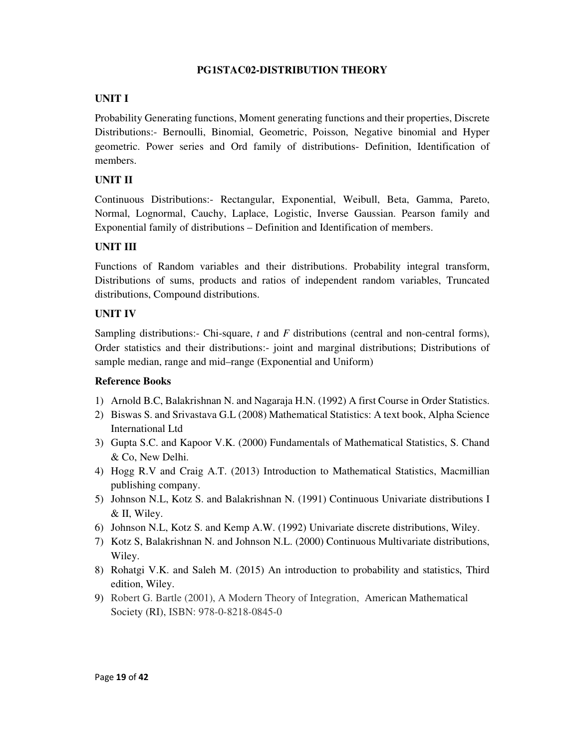## **PG1STAC02-DISTRIBUTION THEORY**

## **UNIT I**

Probability Generating functions, Moment generating functions and their properties, Discrete Distributions:- Bernoulli, Binomial, Geometric, Poisson, Negative binomial and Hyper geometric. Power series and Ord family of distributions- Definition, Identification of members.

## **UNIT II**

Continuous Distributions:- Rectangular, Exponential, Weibull, Beta, Gamma, Pareto, Normal, Lognormal, Cauchy, Laplace, Logistic, Inverse Gaussian. Pearson family and Exponential family of distributions – Definition and Identification of members.

## **UNIT III**

Functions of Random variables and their distributions. Probability integral transform, Distributions of sums, products and ratios of independent random variables, Truncated distributions, Compound distributions.

## **UNIT IV**

Sampling distributions:- Chi-square, *t* and *F* distributions (central and non-central forms), Order statistics and their distributions:- joint and marginal distributions; Distributions of sample median, range and mid–range (Exponential and Uniform)

- 1) Arnold B.C, Balakrishnan N. and Nagaraja H.N. (1992) A first Course in Order Statistics.
- 2) Biswas S. and Srivastava G.L (2008) Mathematical Statistics: A text book, Alpha Science International Ltd
- 3) Gupta S.C. and Kapoor V.K. (2000) Fundamentals of Mathematical Statistics, S. Chand & Co, New Delhi.
- 4) Hogg R.V and Craig A.T. (2013) Introduction to Mathematical Statistics, Macmillian publishing company.
- 5) Johnson N.L, Kotz S. and Balakrishnan N. (1991) Continuous Univariate distributions I & II, Wiley.
- 6) Johnson N.L, Kotz S. and Kemp A.W. (1992) Univariate discrete distributions, Wiley.
- 7) Kotz S, Balakrishnan N. and Johnson N.L. (2000) Continuous Multivariate distributions, Wiley.
- 8) Rohatgi V.K. and Saleh M. (2015) An introduction to probability and statistics, Third edition, Wiley.
- 9) Robert G. Bartle (2001), A Modern Theory of Integration, American Mathematical Society (RI), ISBN: 978-0-8218-0845-0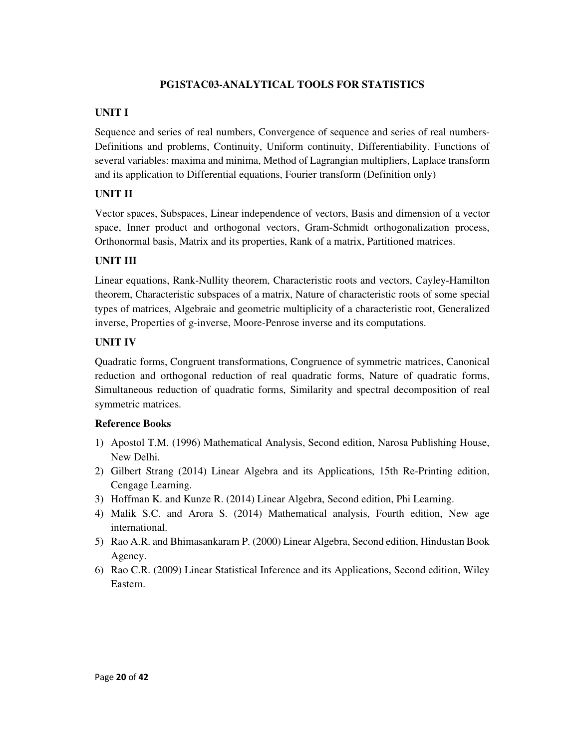## **PG1STAC03-ANALYTICAL TOOLS FOR STATISTICS**

## **UNIT I**

Sequence and series of real numbers, Convergence of sequence and series of real numbers-Definitions and problems, Continuity, Uniform continuity, Differentiability. Functions of several variables: maxima and minima, Method of Lagrangian multipliers, Laplace transform and its application to Differential equations, Fourier transform (Definition only)

## **UNIT II**

Vector spaces, Subspaces, Linear independence of vectors, Basis and dimension of a vector space, Inner product and orthogonal vectors, Gram-Schmidt orthogonalization process, Orthonormal basis, Matrix and its properties, Rank of a matrix, Partitioned matrices.

## **UNIT III**

Linear equations, Rank-Nullity theorem, Characteristic roots and vectors, Cayley-Hamilton theorem, Characteristic subspaces of a matrix, Nature of characteristic roots of some special types of matrices, Algebraic and geometric multiplicity of a characteristic root, Generalized inverse, Properties of g-inverse, Moore-Penrose inverse and its computations.

## **UNIT IV**

Quadratic forms, Congruent transformations, Congruence of symmetric matrices, Canonical reduction and orthogonal reduction of real quadratic forms, Nature of quadratic forms, Simultaneous reduction of quadratic forms, Similarity and spectral decomposition of real symmetric matrices.

- 1) Apostol T.M. (1996) Mathematical Analysis, Second edition, Narosa Publishing House, New Delhi.
- 2) Gilbert Strang (2014) Linear Algebra and its Applications, 15th Re-Printing edition, Cengage Learning.
- 3) Hoffman K. and Kunze R. (2014) Linear Algebra, Second edition, Phi Learning.
- 4) Malik S.C. and Arora S. (2014) Mathematical analysis, Fourth edition, New age international.
- 5) Rao A.R. and Bhimasankaram P. (2000) Linear Algebra, Second edition, Hindustan Book Agency.
- 6) Rao C.R. (2009) Linear Statistical Inference and its Applications, Second edition, Wiley Eastern.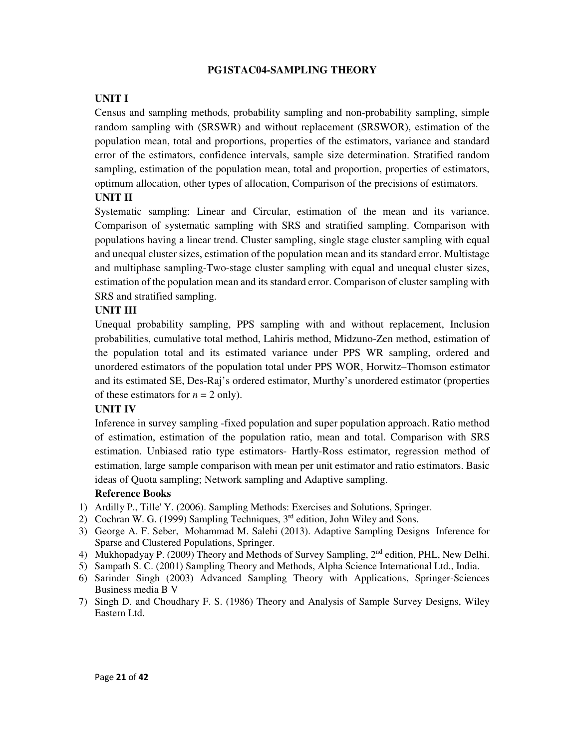#### **PG1STAC04-SAMPLING THEORY**

## **UNIT I**

Census and sampling methods, probability sampling and non-probability sampling, simple random sampling with (SRSWR) and without replacement (SRSWOR), estimation of the population mean, total and proportions, properties of the estimators, variance and standard error of the estimators, confidence intervals, sample size determination. Stratified random sampling, estimation of the population mean, total and proportion, properties of estimators, optimum allocation, other types of allocation, Comparison of the precisions of estimators.

#### **UNIT II**

Systematic sampling: Linear and Circular, estimation of the mean and its variance. Comparison of systematic sampling with SRS and stratified sampling. Comparison with populations having a linear trend. Cluster sampling, single stage cluster sampling with equal and unequal cluster sizes, estimation of the population mean and its standard error. Multistage and multiphase sampling-Two-stage cluster sampling with equal and unequal cluster sizes, estimation of the population mean and its standard error. Comparison of cluster sampling with SRS and stratified sampling.

#### **UNIT III**

Unequal probability sampling, PPS sampling with and without replacement, Inclusion probabilities, cumulative total method, Lahiris method, Midzuno-Zen method, estimation of the population total and its estimated variance under PPS WR sampling, ordered and unordered estimators of the population total under PPS WOR, Horwitz–Thomson estimator and its estimated SE, Des-Raj's ordered estimator, Murthy's unordered estimator (properties of these estimators for  $n = 2$  only).

#### **UNIT IV**

Inference in survey sampling -fixed population and super population approach. Ratio method of estimation, estimation of the population ratio, mean and total. Comparison with SRS estimation. Unbiased ratio type estimators- Hartly-Ross estimator, regression method of estimation, large sample comparison with mean per unit estimator and ratio estimators. Basic ideas of Quota sampling; Network sampling and Adaptive sampling.

- 1) Ardilly P., Tille' Y. (2006). Sampling Methods: Exercises and Solutions, Springer.
- 2) Cochran W. G. (1999) Sampling Techniques,  $3<sup>rd</sup>$  edition, John Wiley and Sons.
- 3) George A. F. Seber, Mohammad M. Salehi (2013). Adaptive Sampling Designs Inference for Sparse and Clustered Populations, Springer.
- 4) Mukhopadyay P. (2009) Theory and Methods of Survey Sampling, 2<sup>nd</sup> edition, PHL, New Delhi.
- 5) Sampath S. C. (2001) Sampling Theory and Methods, Alpha Science International Ltd., India.
- 6) Sarinder Singh (2003) Advanced Sampling Theory with Applications, Springer-Sciences Business media B V
- 7) Singh D. and Choudhary F. S. (1986) Theory and Analysis of Sample Survey Designs, Wiley Eastern Ltd.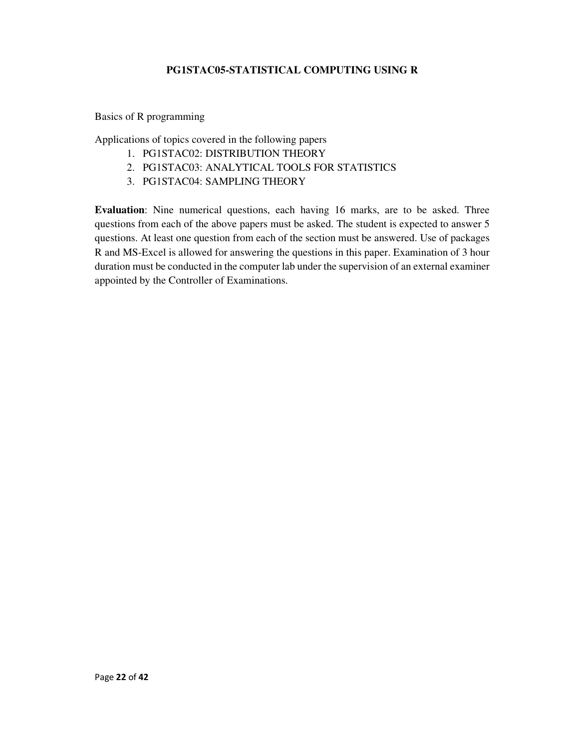## **PG1STAC05-STATISTICAL COMPUTING USING R**

#### Basics of R programming

Applications of topics covered in the following papers

- 1. PG1STAC02: DISTRIBUTION THEORY
- 2. PG1STAC03: ANALYTICAL TOOLS FOR STATISTICS
- 3. PG1STAC04: SAMPLING THEORY

**Evaluation**: Nine numerical questions, each having 16 marks, are to be asked. Three questions from each of the above papers must be asked. The student is expected to answer 5 questions. At least one question from each of the section must be answered. Use of packages R and MS-Excel is allowed for answering the questions in this paper. Examination of 3 hour duration must be conducted in the computer lab under the supervision of an external examiner appointed by the Controller of Examinations.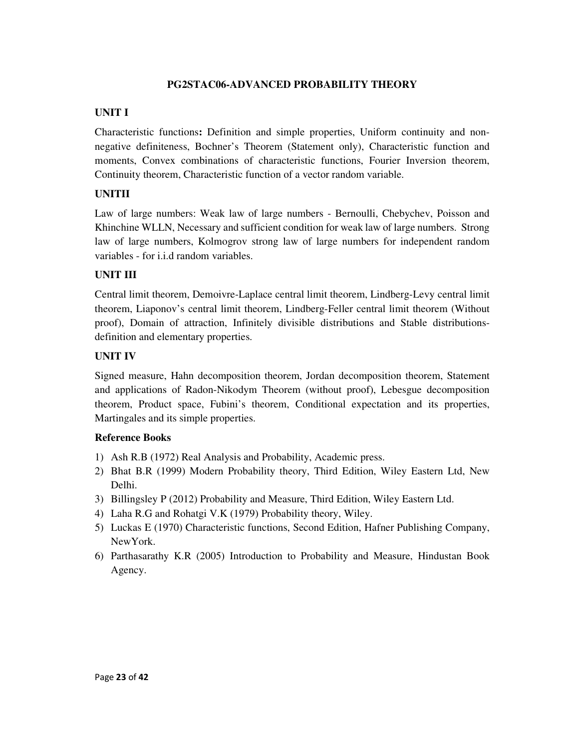#### **PG2STAC06-ADVANCED PROBABILITY THEORY**

#### **UNIT I**

Characteristic functions**:** Definition and simple properties, Uniform continuity and nonnegative definiteness, Bochner's Theorem (Statement only), Characteristic function and moments, Convex combinations of characteristic functions, Fourier Inversion theorem, Continuity theorem, Characteristic function of a vector random variable.

## **UNITII**

Law of large numbers: Weak law of large numbers - Bernoulli, Chebychev, Poisson and Khinchine WLLN, Necessary and sufficient condition for weak law of large numbers. Strong law of large numbers, Kolmogrov strong law of large numbers for independent random variables - for i.i.d random variables.

## **UNIT III**

Central limit theorem, Demoivre-Laplace central limit theorem, Lindberg-Levy central limit theorem, Liaponov's central limit theorem, Lindberg-Feller central limit theorem (Without proof), Domain of attraction, Infinitely divisible distributions and Stable distributionsdefinition and elementary properties.

#### **UNIT IV**

Signed measure, Hahn decomposition theorem, Jordan decomposition theorem, Statement and applications of Radon-Nikodym Theorem (without proof), Lebesgue decomposition theorem, Product space, Fubini's theorem, Conditional expectation and its properties, Martingales and its simple properties.

- 1) Ash R.B (1972) Real Analysis and Probability, Academic press.
- 2) Bhat B.R (1999) Modern Probability theory, Third Edition, Wiley Eastern Ltd, New Delhi.
- 3) Billingsley P (2012) Probability and Measure, Third Edition, Wiley Eastern Ltd.
- 4) Laha R.G and Rohatgi V.K (1979) Probability theory, Wiley.
- 5) Luckas E (1970) Characteristic functions, Second Edition, Hafner Publishing Company, NewYork.
- 6) Parthasarathy K.R (2005) Introduction to Probability and Measure, Hindustan Book Agency.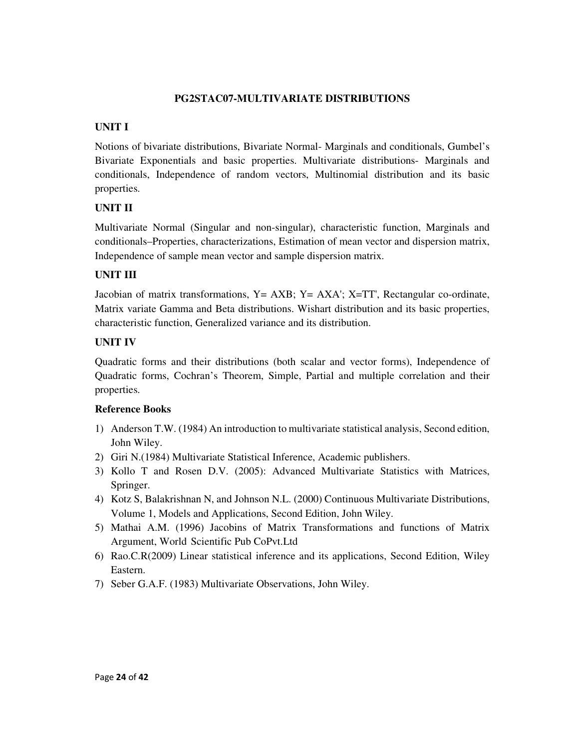## **PG2STAC07-MULTIVARIATE DISTRIBUTIONS**

# **UNIT I**

Notions of bivariate distributions, Bivariate Normal- Marginals and conditionals, Gumbel's Bivariate Exponentials and basic properties. Multivariate distributions- Marginals and conditionals, Independence of random vectors, Multinomial distribution and its basic properties.

# **UNIT II**

Multivariate Normal (Singular and non-singular), characteristic function, Marginals and conditionals–Properties, characterizations, Estimation of mean vector and dispersion matrix, Independence of sample mean vector and sample dispersion matrix.

# **UNIT III**

Jacobian of matrix transformations, Y= AXB; Y= AXA'; X=TT', Rectangular co-ordinate, Matrix variate Gamma and Beta distributions. Wishart distribution and its basic properties, characteristic function, Generalized variance and its distribution.

# **UNIT IV**

Quadratic forms and their distributions (both scalar and vector forms), Independence of Quadratic forms, Cochran's Theorem, Simple, Partial and multiple correlation and their properties.

- 1) Anderson T.W. (1984) An introduction to multivariate statistical analysis, Second edition, John Wiley.
- 2) Giri N.(1984) Multivariate Statistical Inference, Academic publishers.
- 3) Kollo T and Rosen D.V. (2005): Advanced Multivariate Statistics with Matrices, Springer.
- 4) Kotz S, Balakrishnan N, and Johnson N.L. (2000) Continuous Multivariate Distributions, Volume 1, Models and Applications, Second Edition, John Wiley.
- 5) Mathai A.M. (1996) Jacobins of Matrix Transformations and functions of Matrix Argument, World Scientific Pub CoPvt.Ltd
- 6) Rao.C.R(2009) Linear statistical inference and its applications, Second Edition, Wiley Eastern.
- 7) Seber G.A.F. (1983) Multivariate Observations, John Wiley.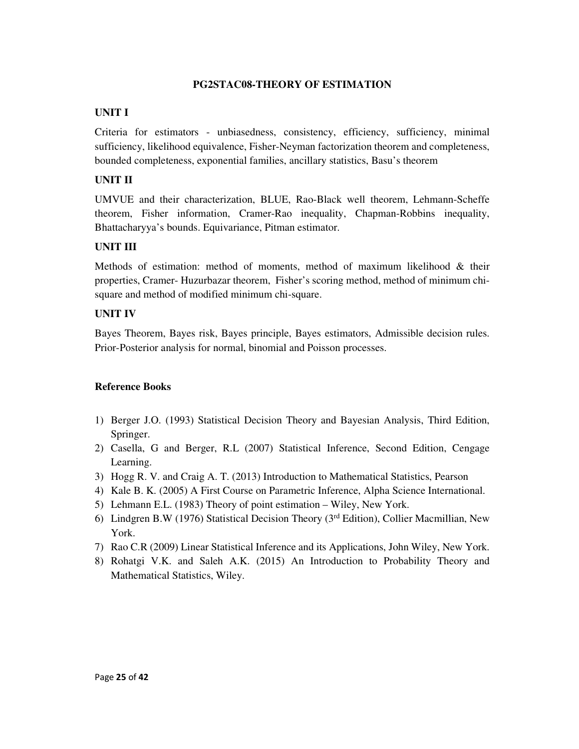#### **PG2STAC08-THEORY OF ESTIMATION**

## **UNIT I**

Criteria for estimators - unbiasedness, consistency, efficiency, sufficiency, minimal sufficiency, likelihood equivalence, Fisher-Neyman factorization theorem and completeness, bounded completeness, exponential families, ancillary statistics, Basu's theorem

## **UNIT II**

UMVUE and their characterization, BLUE, Rao-Black well theorem, Lehmann-Scheffe theorem, Fisher information, Cramer-Rao inequality, Chapman-Robbins inequality, Bhattacharyya's bounds. Equivariance, Pitman estimator.

## **UNIT III**

Methods of estimation: method of moments, method of maximum likelihood & their properties, Cramer- Huzurbazar theorem, Fisher's scoring method, method of minimum chisquare and method of modified minimum chi-square.

## **UNIT IV**

Bayes Theorem, Bayes risk, Bayes principle, Bayes estimators, Admissible decision rules. Prior-Posterior analysis for normal, binomial and Poisson processes.

- 1) Berger J.O. (1993) Statistical Decision Theory and Bayesian Analysis, Third Edition, Springer.
- 2) Casella, G and Berger, R.L (2007) Statistical Inference, Second Edition, Cengage Learning.
- 3) Hogg R. V. and Craig A. T. (2013) Introduction to Mathematical Statistics, Pearson
- 4) Kale B. K. (2005) A First Course on Parametric Inference, Alpha Science International.
- 5) Lehmann E.L. (1983) Theory of point estimation Wiley, New York.
- 6) Lindgren B.W (1976) Statistical Decision Theory (3rd Edition), Collier Macmillian, New York.
- 7) Rao C.R (2009) Linear Statistical Inference and its Applications, John Wiley, New York.
- 8) Rohatgi V.K. and Saleh A.K. (2015) An Introduction to Probability Theory and Mathematical Statistics, Wiley.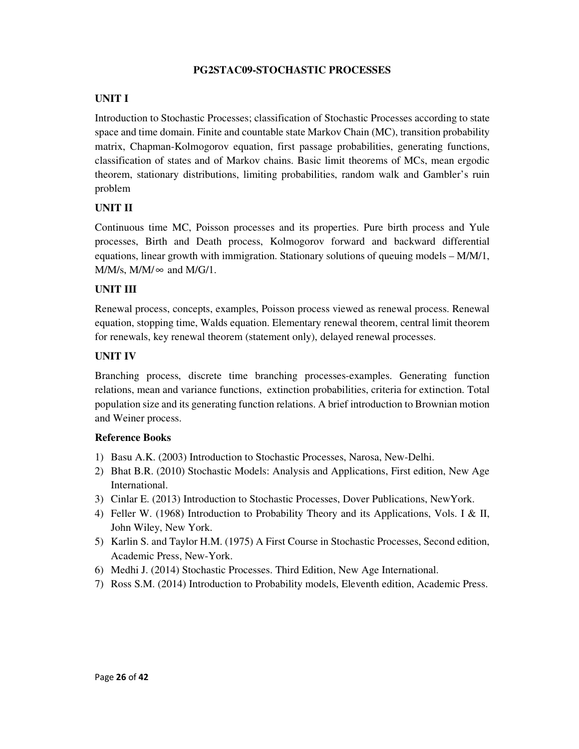## **PG2STAC09-STOCHASTIC PROCESSES**

## **UNIT I**

Introduction to Stochastic Processes; classification of Stochastic Processes according to state space and time domain. Finite and countable state Markov Chain (MC), transition probability matrix, Chapman-Kolmogorov equation, first passage probabilities, generating functions, classification of states and of Markov chains. Basic limit theorems of MCs, mean ergodic theorem, stationary distributions, limiting probabilities, random walk and Gambler's ruin problem

## **UNIT II**

Continuous time MC, Poisson processes and its properties. Pure birth process and Yule processes, Birth and Death process, Kolmogorov forward and backward differential equations, linear growth with immigration. Stationary solutions of queuing models – M/M/1,  $M/M/s$ ,  $M/M/\infty$  and  $M/G/1$ .

## **UNIT III**

Renewal process, concepts, examples, Poisson process viewed as renewal process. Renewal equation, stopping time, Walds equation. Elementary renewal theorem, central limit theorem for renewals, key renewal theorem (statement only), delayed renewal processes.

## **UNIT IV**

Branching process, discrete time branching processes-examples. Generating function relations, mean and variance functions, extinction probabilities, criteria for extinction. Total population size and its generating function relations. A brief introduction to Brownian motion and Weiner process.

- 1) Basu A.K. (2003) Introduction to Stochastic Processes, Narosa, New-Delhi.
- 2) Bhat B.R. (2010) Stochastic Models: Analysis and Applications, First edition, New Age International.
- 3) Cinlar E. (2013) Introduction to Stochastic Processes, Dover Publications, NewYork.
- 4) Feller W. (1968) Introduction to Probability Theory and its Applications, Vols. I & II, John Wiley, New York.
- 5) Karlin S. and Taylor H.M. (1975) A First Course in Stochastic Processes, Second edition, Academic Press, New-York.
- 6) Medhi J. (2014) Stochastic Processes. Third Edition, New Age International.
- 7) Ross S.M. (2014) Introduction to Probability models, Eleventh edition, Academic Press.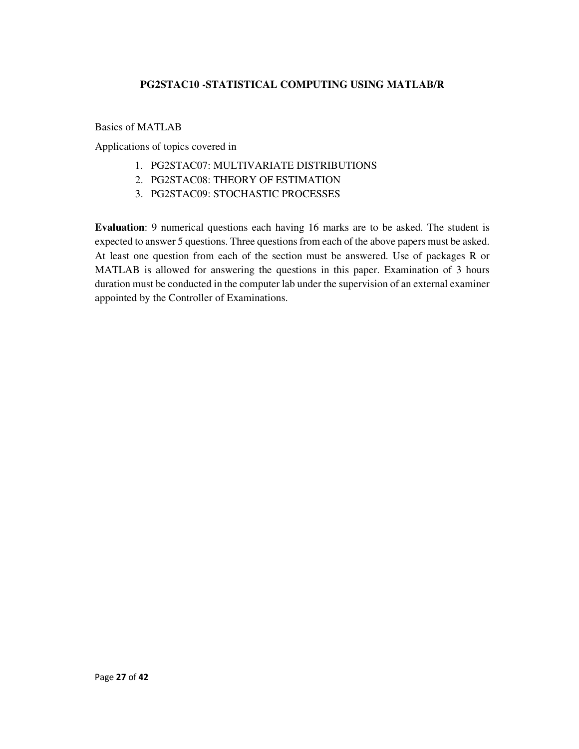## **PG2STAC10 -STATISTICAL COMPUTING USING MATLAB/R**

Basics of MATLAB

Applications of topics covered in

- 1. PG2STAC07: MULTIVARIATE DISTRIBUTIONS
- 2. PG2STAC08: THEORY OF ESTIMATION
- 3. PG2STAC09: STOCHASTIC PROCESSES

**Evaluation**: 9 numerical questions each having 16 marks are to be asked. The student is expected to answer 5 questions. Three questions from each of the above papers must be asked. At least one question from each of the section must be answered. Use of packages R or MATLAB is allowed for answering the questions in this paper. Examination of 3 hours duration must be conducted in the computer lab under the supervision of an external examiner appointed by the Controller of Examinations.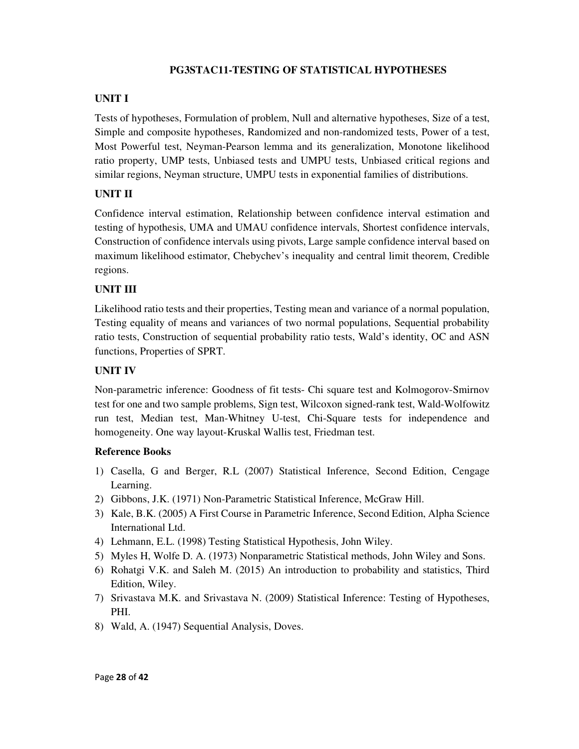# **PG3STAC11-TESTING OF STATISTICAL HYPOTHESES**

## **UNIT I**

Tests of hypotheses, Formulation of problem, Null and alternative hypotheses, Size of a test, Simple and composite hypotheses, Randomized and non-randomized tests, Power of a test, Most Powerful test, Neyman-Pearson lemma and its generalization, Monotone likelihood ratio property, UMP tests, Unbiased tests and UMPU tests, Unbiased critical regions and similar regions, Neyman structure, UMPU tests in exponential families of distributions.

## **UNIT II**

Confidence interval estimation, Relationship between confidence interval estimation and testing of hypothesis, UMA and UMAU confidence intervals, Shortest confidence intervals, Construction of confidence intervals using pivots, Large sample confidence interval based on maximum likelihood estimator, Chebychev's inequality and central limit theorem, Credible regions.

#### **UNIT III**

Likelihood ratio tests and their properties, Testing mean and variance of a normal population, Testing equality of means and variances of two normal populations, Sequential probability ratio tests, Construction of sequential probability ratio tests, Wald's identity, OC and ASN functions, Properties of SPRT.

#### **UNIT IV**

Non-parametric inference: Goodness of fit tests- Chi square test and Kolmogorov-Smirnov test for one and two sample problems, Sign test, Wilcoxon signed-rank test, Wald-Wolfowitz run test, Median test, Man-Whitney U-test, Chi-Square tests for independence and homogeneity. One way layout-Kruskal Wallis test, Friedman test.

- 1) Casella, G and Berger, R.L (2007) Statistical Inference, Second Edition, Cengage Learning.
- 2) Gibbons, J.K. (1971) Non-Parametric Statistical Inference, McGraw Hill.
- 3) Kale, B.K. (2005) A First Course in Parametric Inference, Second Edition, Alpha Science International Ltd.
- 4) Lehmann, E.L. (1998) Testing Statistical Hypothesis, John Wiley.
- 5) Myles H, Wolfe D. A. (1973) Nonparametric Statistical methods, John Wiley and Sons.
- 6) Rohatgi V.K. and Saleh M. (2015) An introduction to probability and statistics, Third Edition, Wiley.
- 7) Srivastava M.K. and Srivastava N. (2009) Statistical Inference: Testing of Hypotheses, PHI.
- 8) Wald, A. (1947) Sequential Analysis, Doves.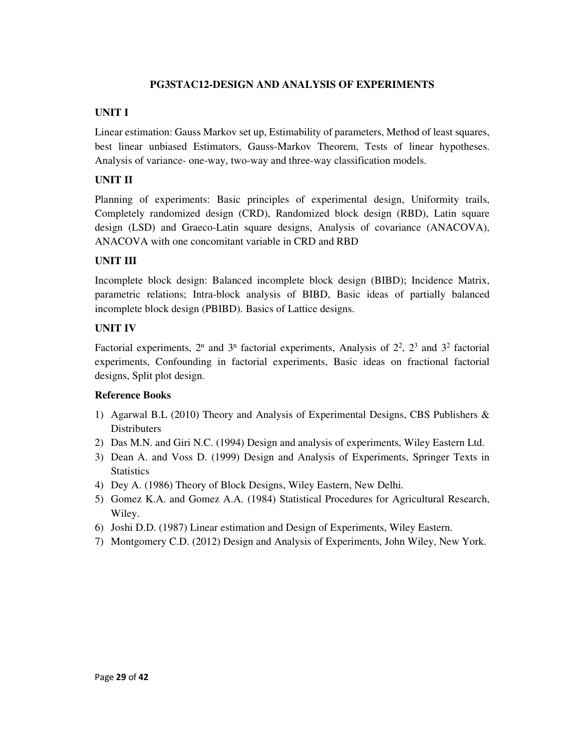## **PG3STAC12-DESIGN AND ANALYSIS OF EXPERIMENTS**

#### **UNIT I**

Linear estimation: Gauss Markov set up, Estimability of parameters, Method of least squares, best linear unbiased Estimators, Gauss-Markov Theorem, Tests of linear hypotheses. Analysis of variance- one-way, two-way and three-way classification models.

## **UNIT II**

Planning of experiments: Basic principles of experimental design, Uniformity trails, Completely randomized design (CRD), Randomized block design (RBD), Latin square design (LSD) and Graeco-Latin square designs, Analysis of covariance (ANACOVA), ANACOVA with one concomitant variable in CRD and RBD

## **UNIT III**

Incomplete block design: Balanced incomplete block design (BIBD); Incidence Matrix, parametric relations; Intra-block analysis of BIBD, Basic ideas of partially balanced incomplete block design (PBIBD). Basics of Lattice designs.

#### **UNIT IV**

Factorial experiments,  $2^n$  and  $3^n$  factorial experiments, Analysis of  $2^2$ ,  $2^3$  and  $3^2$  factorial experiments, Confounding in factorial experiments, Basic ideas on fractional factorial designs, Split plot design.

- 1) Agarwal B.L (2010) Theory and Analysis of Experimental Designs, CBS Publishers & **Distributers**
- 2) Das M.N. and Giri N.C. (1994) Design and analysis of experiments, Wiley Eastern Ltd.
- 3) Dean A. and Voss D. (1999) Design and Analysis of Experiments, Springer Texts in **Statistics**
- 4) Dey A. (1986) Theory of Block Designs, Wiley Eastern, New Delhi.
- 5) Gomez K.A. and Gomez A.A. (1984) Statistical Procedures for Agricultural Research, Wiley.
- 6) Joshi D.D. (1987) Linear estimation and Design of Experiments, Wiley Eastern.
- 7) Montgomery C.D. (2012) Design and Analysis of Experiments, John Wiley, New York.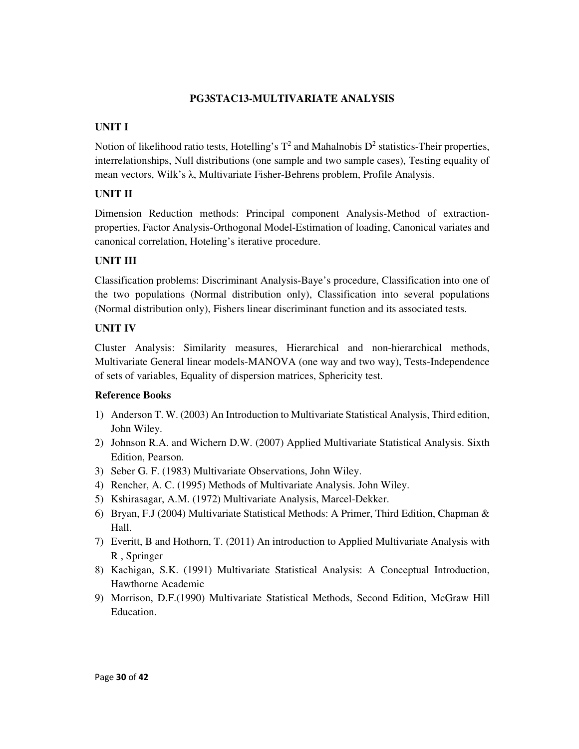## **PG3STAC13-MULTIVARIATE ANALYSIS**

# **UNIT I**

Notion of likelihood ratio tests, Hotelling's  $T^2$  and Mahalnobis  $D^2$  statistics-Their properties, interrelationships, Null distributions (one sample and two sample cases), Testing equality of mean vectors, Wilk's λ, Multivariate Fisher-Behrens problem, Profile Analysis.

# **UNIT II**

Dimension Reduction methods: Principal component Analysis-Method of extractionproperties, Factor Analysis-Orthogonal Model-Estimation of loading, Canonical variates and canonical correlation, Hoteling's iterative procedure.

# **UNIT III**

Classification problems: Discriminant Analysis-Baye's procedure, Classification into one of the two populations (Normal distribution only), Classification into several populations (Normal distribution only), Fishers linear discriminant function and its associated tests.

# **UNIT IV**

Cluster Analysis: Similarity measures, Hierarchical and non-hierarchical methods, Multivariate General linear models-MANOVA (one way and two way), Tests-Independence of sets of variables, Equality of dispersion matrices, Sphericity test.

- 1) Anderson T. W. (2003) An Introduction to Multivariate Statistical Analysis, Third edition, John Wiley.
- 2) Johnson R.A. and Wichern D.W. (2007) Applied Multivariate Statistical Analysis. Sixth Edition, Pearson.
- 3) Seber G. F. (1983) Multivariate Observations, John Wiley.
- 4) Rencher, A. C. (1995) Methods of Multivariate Analysis. John Wiley.
- 5) Kshirasagar, A.M. (1972) Multivariate Analysis, Marcel-Dekker.
- 6) Bryan, F.J (2004) Multivariate Statistical Methods: A Primer, Third Edition, Chapman & Hall.
- 7) Everitt, B and Hothorn, T. (2011) An introduction to Applied Multivariate Analysis with R , Springer
- 8) Kachigan, S.K. (1991) Multivariate Statistical Analysis: A Conceptual Introduction, Hawthorne Academic
- 9) Morrison, D.F.(1990) Multivariate Statistical Methods, Second Edition, McGraw Hill Education.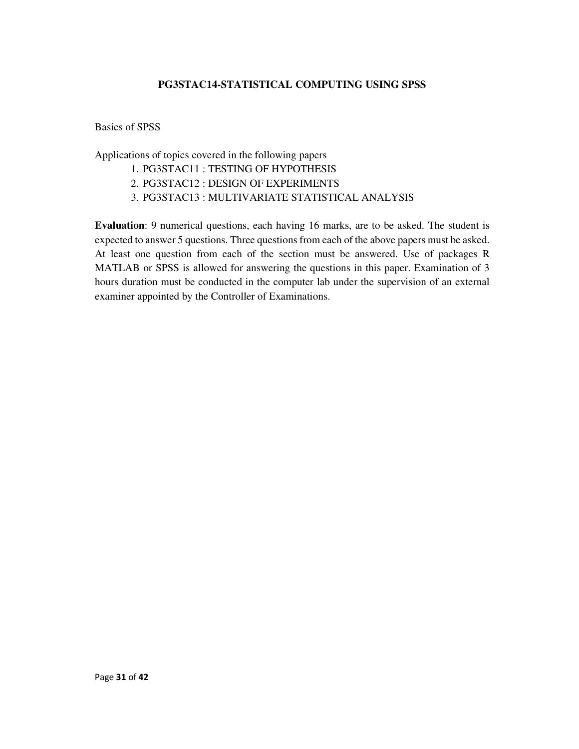## **PG3STAC14-STATISTICAL COMPUTING USING SPSS**

Basics of SPSS

Applications of topics covered in the following papers

- 1. PG3STAC11 : TESTING OF HYPOTHESIS
- 2. PG3STAC12 : DESIGN OF EXPERIMENTS
- 3. PG3STAC13 : MULTIVARIATE STATISTICAL ANALYSIS

**Evaluation**: 9 numerical questions, each having 16 marks, are to be asked. The student is expected to answer 5 questions. Three questions from each of the above papers must be asked. At least one question from each of the section must be answered. Use of packages R MATLAB or SPSS is allowed for answering the questions in this paper. Examination of 3 hours duration must be conducted in the computer lab under the supervision of an external examiner appointed by the Controller of Examinations.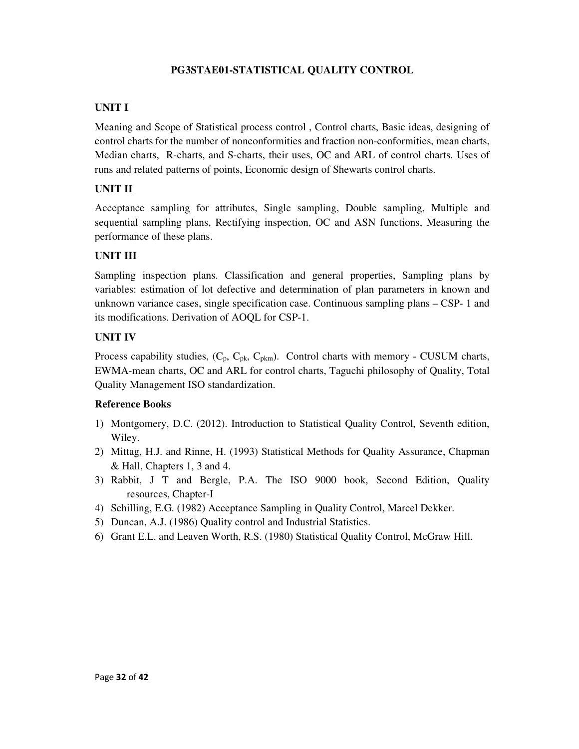## **PG3STAE01-STATISTICAL QUALITY CONTROL**

## **UNIT I**

Meaning and Scope of Statistical process control , Control charts, Basic ideas, designing of control charts for the number of nonconformities and fraction non-conformities, mean charts, Median charts, R-charts, and S-charts, their uses, OC and ARL of control charts. Uses of runs and related patterns of points, Economic design of Shewarts control charts.

#### **UNIT II**

Acceptance sampling for attributes, Single sampling, Double sampling, Multiple and sequential sampling plans, Rectifying inspection, OC and ASN functions, Measuring the performance of these plans.

#### **UNIT III**

Sampling inspection plans. Classification and general properties, Sampling plans by variables: estimation of lot defective and determination of plan parameters in known and unknown variance cases, single specification case. Continuous sampling plans – CSP- 1 and its modifications. Derivation of AOQL for CSP-1.

#### **UNIT IV**

Process capability studies,  $(C_p, C_{pk}, C_{pkm})$ . Control charts with memory - CUSUM charts, EWMA-mean charts, OC and ARL for control charts, Taguchi philosophy of Quality, Total Quality Management ISO standardization.

- 1) Montgomery, D.C. (2012). Introduction to Statistical Quality Control, Seventh edition, Wiley.
- 2) Mittag, H.J. and Rinne, H. (1993) Statistical Methods for Quality Assurance, Chapman & Hall, Chapters 1, 3 and 4.
- 3) Rabbit, J T and Bergle, P.A. The ISO 9000 book, Second Edition, Quality resources, Chapter-I
- 4) Schilling, E.G. (1982) Acceptance Sampling in Quality Control, Marcel Dekker.
- 5) Duncan, A.J. (1986) Quality control and Industrial Statistics.
- 6) Grant E.L. and Leaven Worth, R.S. (1980) Statistical Quality Control, McGraw Hill.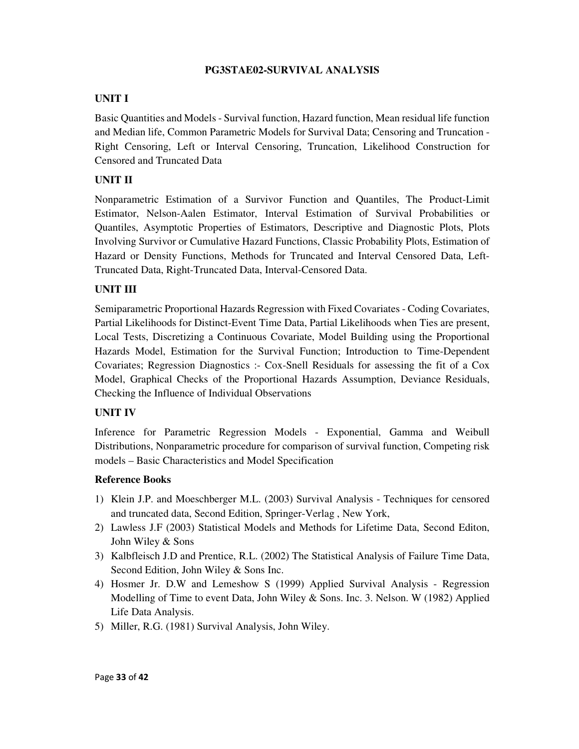## **PG3STAE02-SURVIVAL ANALYSIS**

## **UNIT I**

Basic Quantities and Models - Survival function, Hazard function, Mean residual life function and Median life, Common Parametric Models for Survival Data; Censoring and Truncation - Right Censoring, Left or Interval Censoring, Truncation, Likelihood Construction for Censored and Truncated Data

## **UNIT II**

Nonparametric Estimation of a Survivor Function and Quantiles, The Product-Limit Estimator, Nelson-Aalen Estimator, Interval Estimation of Survival Probabilities or Quantiles, Asymptotic Properties of Estimators, Descriptive and Diagnostic Plots, Plots Involving Survivor or Cumulative Hazard Functions, Classic Probability Plots, Estimation of Hazard or Density Functions, Methods for Truncated and Interval Censored Data, Left-Truncated Data, Right-Truncated Data, Interval-Censored Data.

## **UNIT III**

Semiparametric Proportional Hazards Regression with Fixed Covariates - Coding Covariates, Partial Likelihoods for Distinct-Event Time Data, Partial Likelihoods when Ties are present, Local Tests, Discretizing a Continuous Covariate, Model Building using the Proportional Hazards Model, Estimation for the Survival Function; Introduction to Time-Dependent Covariates; Regression Diagnostics :- Cox-Snell Residuals for assessing the fit of a Cox Model, Graphical Checks of the Proportional Hazards Assumption, Deviance Residuals, Checking the Influence of Individual Observations

## **UNIT IV**

Inference for Parametric Regression Models - Exponential, Gamma and Weibull Distributions, Nonparametric procedure for comparison of survival function, Competing risk models – Basic Characteristics and Model Specification

- 1) Klein J.P. and Moeschberger M.L. (2003) Survival Analysis Techniques for censored and truncated data, Second Edition, Springer-Verlag , New York,
- 2) Lawless J.F (2003) Statistical Models and Methods for Lifetime Data, Second Editon, John Wiley & Sons
- 3) Kalbfleisch J.D and Prentice, R.L. (2002) The Statistical Analysis of Failure Time Data, Second Edition, John Wiley & Sons Inc.
- 4) Hosmer Jr. D.W and Lemeshow S (1999) Applied Survival Analysis Regression Modelling of Time to event Data, John Wiley & Sons. Inc. 3. Nelson. W (1982) Applied Life Data Analysis.
- 5) Miller, R.G. (1981) Survival Analysis, John Wiley.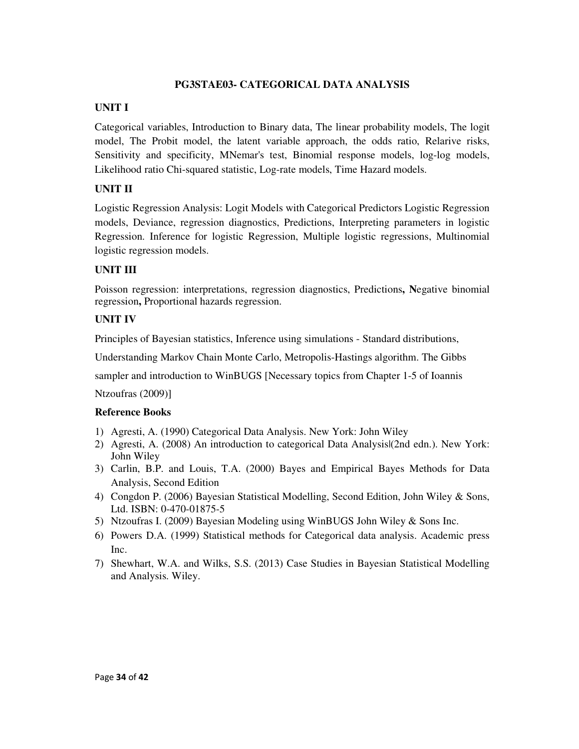#### **PG3STAE03- CATEGORICAL DATA ANALYSIS**

#### **UNIT I**

Categorical variables, Introduction to Binary data, The linear probability models, The logit model, The Probit model, the latent variable approach, the odds ratio, Relarive risks, Sensitivity and specificity, MNemar's test, Binomial response models, log-log models, Likelihood ratio Chi-squared statistic, Log-rate models, Time Hazard models.

## **UNIT II**

Logistic Regression Analysis: Logit Models with Categorical Predictors Logistic Regression models, Deviance, regression diagnostics, Predictions, Interpreting parameters in logistic Regression. Inference for logistic Regression, Multiple logistic regressions, Multinomial logistic regression models.

#### **UNIT III**

Poisson regression: interpretations, regression diagnostics, Predictions**, N**egative binomial regression**,** Proportional hazards regression.

#### **UNIT IV**

Principles of Bayesian statistics, Inference using simulations - Standard distributions,

Understanding Markov Chain Monte Carlo, Metropolis-Hastings algorithm. The Gibbs

sampler and introduction to WinBUGS [Necessary topics from Chapter 1-5 of Ioannis

Ntzoufras (2009)]

- 1) Agresti, A. (1990) Categorical Data Analysis. New York: John Wiley
- 2) Agresti, A. (2008) An introduction to categorical Data Analysis|(2nd edn.). New York: John Wiley
- 3) Carlin, B.P. and Louis, T.A. (2000) Bayes and Empirical Bayes Methods for Data Analysis, Second Edition
- 4) Congdon P. (2006) Bayesian Statistical Modelling, Second Edition, John Wiley & Sons, Ltd. ISBN: 0-470-01875-5
- 5) Ntzoufras I. (2009) Bayesian Modeling using WinBUGS John Wiley & Sons Inc.
- 6) Powers D.A. (1999) Statistical methods for Categorical data analysis. Academic press Inc.
- 7) Shewhart, W.A. and Wilks, S.S. (2013) Case Studies in Bayesian Statistical Modelling and Analysis. Wiley.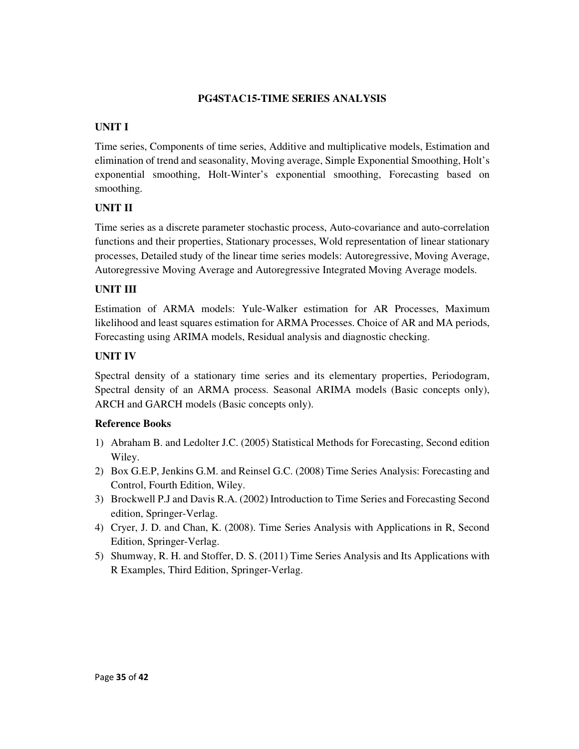## **PG4STAC15-TIME SERIES ANALYSIS**

# **UNIT I**

Time series, Components of time series, Additive and multiplicative models, Estimation and elimination of trend and seasonality, Moving average, Simple Exponential Smoothing, Holt's exponential smoothing, Holt-Winter's exponential smoothing, Forecasting based on smoothing.

# **UNIT II**

Time series as a discrete parameter stochastic process, Auto-covariance and auto-correlation functions and their properties, Stationary processes, Wold representation of linear stationary processes, Detailed study of the linear time series models: Autoregressive, Moving Average, Autoregressive Moving Average and Autoregressive Integrated Moving Average models.

# **UNIT III**

Estimation of ARMA models: Yule-Walker estimation for AR Processes, Maximum likelihood and least squares estimation for ARMA Processes. Choice of AR and MA periods, Forecasting using ARIMA models, Residual analysis and diagnostic checking.

# **UNIT IV**

Spectral density of a stationary time series and its elementary properties, Periodogram, Spectral density of an ARMA process. Seasonal ARIMA models (Basic concepts only), ARCH and GARCH models (Basic concepts only).

- 1) Abraham B. and Ledolter J.C. (2005) Statistical Methods for Forecasting, Second edition Wiley.
- 2) Box G.E.P, Jenkins G.M. and Reinsel G.C. (2008) Time Series Analysis: Forecasting and Control, Fourth Edition, Wiley.
- 3) Brockwell P.J and Davis R.A. (2002) Introduction to Time Series and Forecasting Second edition, Springer-Verlag.
- 4) Cryer, J. D. and Chan, K. (2008). Time Series Analysis with Applications in R, Second Edition, Springer-Verlag.
- 5) Shumway, R. H. and Stoffer, D. S. (2011) Time Series Analysis and Its Applications with R Examples, Third Edition, Springer-Verlag.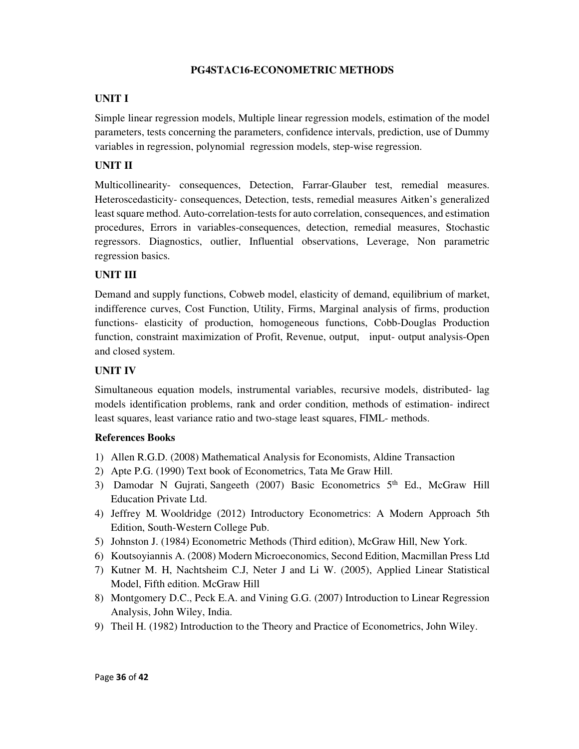## **PG4STAC16-ECONOMETRIC METHODS**

## **UNIT I**

Simple linear regression models, Multiple linear regression models, estimation of the model parameters, tests concerning the parameters, confidence intervals, prediction, use of Dummy variables in regression, polynomial regression models, step-wise regression.

# **UNIT II**

Multicollinearity- consequences, Detection, Farrar-Glauber test, remedial measures. Heteroscedasticity- consequences, Detection, tests, remedial measures Aitken's generalized least square method. Auto-correlation-tests for auto correlation, consequences, and estimation procedures, Errors in variables-consequences, detection, remedial measures, Stochastic regressors. Diagnostics, outlier, Influential observations, Leverage, Non parametric regression basics.

# **UNIT III**

Demand and supply functions, Cobweb model, elasticity of demand, equilibrium of market, indifference curves, Cost Function, Utility, Firms, Marginal analysis of firms, production functions- elasticity of production, homogeneous functions, Cobb-Douglas Production function, constraint maximization of Profit, Revenue, output, input- output analysis-Open and closed system.

## **UNIT IV**

Simultaneous equation models, instrumental variables, recursive models, distributed- lag models identification problems, rank and order condition, methods of estimation- indirect least squares, least variance ratio and two-stage least squares, FIML- methods.

- 1) Allen R.G.D. (2008) Mathematical Analysis for Economists, Aldine Transaction
- 2) Apte P.G. (1990) Text book of Econometrics, Tata Me Graw Hill.
- 3) Damodar N Gujrati, Sangeeth (2007) Basic Econometrics 5<sup>th</sup> Ed., McGraw Hill Education Private Ltd.
- 4) Jeffrey M*.* Wooldridge (2012) Introductory Econometrics: A Modern Approach 5th Edition, South-Western College Pub.
- 5) Johnston J. (1984) Econometric Methods (Third edition), McGraw Hill, New York.
- 6) Koutsoyiannis A. (2008) Modern Microeconomics, Second Edition, Macmillan Press Ltd
- 7) Kutner M. H, Nachtsheim C.J, Neter J and Li W. (2005), Applied Linear Statistical Model, Fifth edition. McGraw Hill
- 8) Montgomery D.C., Peck E.A. and Vining G.G. (2007) Introduction to Linear Regression Analysis, John Wiley, India.
- 9) Theil H. (1982) Introduction to the Theory and Practice of Econometrics, John Wiley.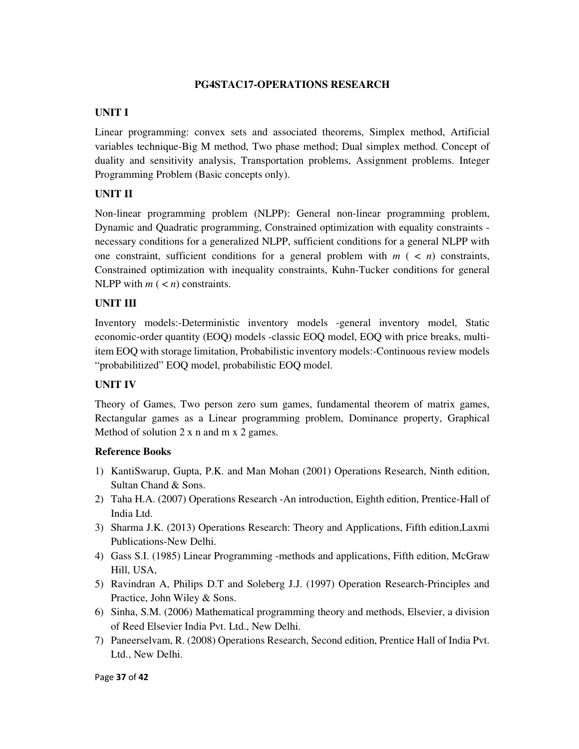#### **PG4STAC17-OPERATIONS RESEARCH**

#### **UNIT I**

Linear programming: convex sets and associated theorems, Simplex method, Artificial variables technique-Big M method, Two phase method; Dual simplex method. Concept of duality and sensitivity analysis, Transportation problems, Assignment problems. Integer Programming Problem (Basic concepts only).

## **UNIT II**

Non-linear programming problem (NLPP): General non-linear programming problem, Dynamic and Quadratic programming, Constrained optimization with equality constraints necessary conditions for a generalized NLPP, sufficient conditions for a general NLPP with one constraint, sufficient conditions for a general problem with  $m$  ( $\lt n$ ) constraints, Constrained optimization with inequality constraints, Kuhn-Tucker conditions for general NLPP with  $m$  ( $\lt n$ ) constraints.

#### **UNIT III**

Inventory models:-Deterministic inventory models -general inventory model, Static economic-order quantity (EOQ) models -classic EOQ model, EOQ with price breaks, multiitem EOQ with storage limitation, Probabilistic inventory models:-Continuous review models "probabilitized" EOQ model, probabilistic EOQ model.

## **UNIT IV**

Theory of Games, Two person zero sum games, fundamental theorem of matrix games, Rectangular games as a Linear programming problem, Dominance property, Graphical Method of solution 2 x n and m x 2 games.

- 1) KantiSwarup, Gupta, P.K. and Man Mohan (2001) Operations Research, Ninth edition, Sultan Chand & Sons.
- 2) Taha H.A. (2007) Operations Research -An introduction, Eighth edition, Prentice-Hall of India Ltd.
- 3) Sharma J.K. (2013) Operations Research: Theory and Applications, Fifth edition,Laxmi Publications-New Delhi.
- 4) Gass S.I. (1985) Linear Programming -methods and applications, Fifth edition, McGraw Hill, USA,
- 5) Ravindran A, Philips D.T and Soleberg J.J. (1997) Operation Research-Principles and Practice, John Wiley & Sons.
- 6) Sinha, S.M. (2006) Mathematical programming theory and methods, Elsevier, a division of Reed Elsevier India Pvt. Ltd., New Delhi.
- 7) Paneerselvam, R. (2008) Operations Research, Second edition, Prentice Hall of India Pvt. Ltd., New Delhi.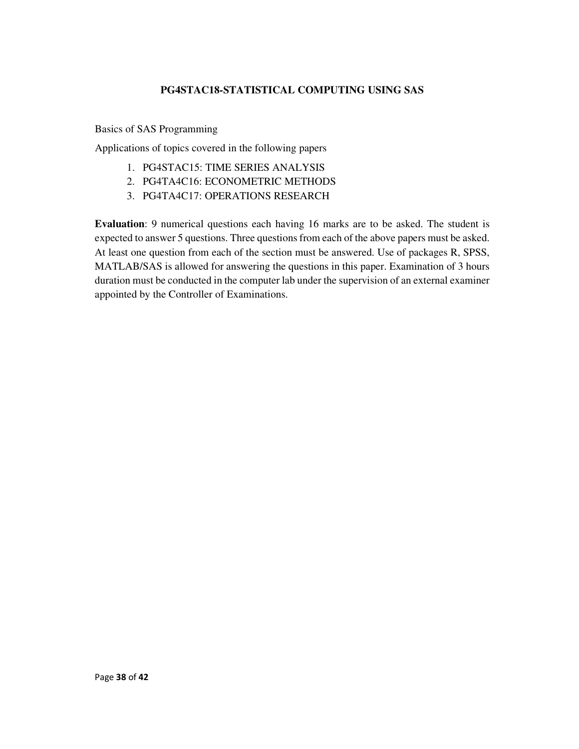## **PG4STAC18-STATISTICAL COMPUTING USING SAS**

Basics of SAS Programming

Applications of topics covered in the following papers

- 1. PG4STAC15: TIME SERIES ANALYSIS
- 2. PG4TA4C16: ECONOMETRIC METHODS
- 3. PG4TA4C17: OPERATIONS RESEARCH

**Evaluation**: 9 numerical questions each having 16 marks are to be asked. The student is expected to answer 5 questions. Three questions from each of the above papers must be asked. At least one question from each of the section must be answered. Use of packages R, SPSS, MATLAB/SAS is allowed for answering the questions in this paper. Examination of 3 hours duration must be conducted in the computer lab under the supervision of an external examiner appointed by the Controller of Examinations.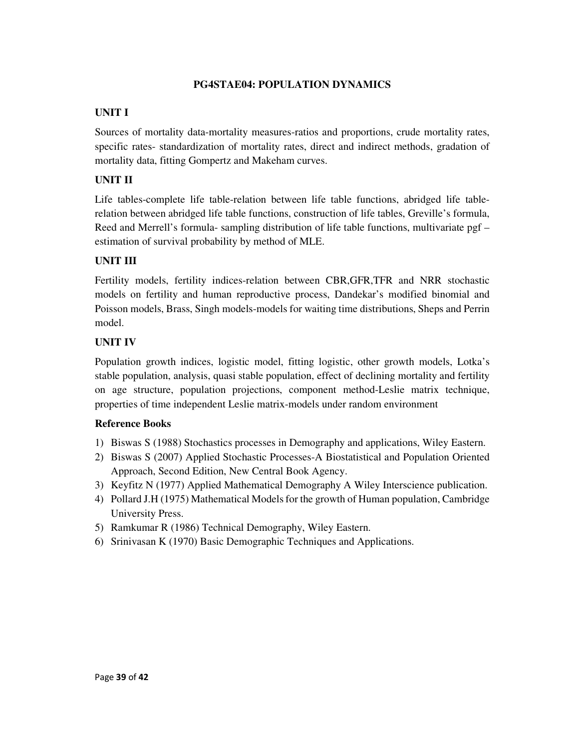#### **PG4STAE04: POPULATION DYNAMICS**

## **UNIT I**

Sources of mortality data-mortality measures-ratios and proportions, crude mortality rates, specific rates- standardization of mortality rates, direct and indirect methods, gradation of mortality data, fitting Gompertz and Makeham curves.

# **UNIT II**

Life tables-complete life table-relation between life table functions, abridged life tablerelation between abridged life table functions, construction of life tables, Greville's formula, Reed and Merrell's formula- sampling distribution of life table functions, multivariate pgf – estimation of survival probability by method of MLE.

## **UNIT III**

Fertility models, fertility indices-relation between CBR,GFR,TFR and NRR stochastic models on fertility and human reproductive process, Dandekar's modified binomial and Poisson models, Brass, Singh models-models for waiting time distributions, Sheps and Perrin model.

# **UNIT IV**

Population growth indices, logistic model, fitting logistic, other growth models, Lotka's stable population, analysis, quasi stable population, effect of declining mortality and fertility on age structure, population projections, component method-Leslie matrix technique, properties of time independent Leslie matrix-models under random environment

- 1) Biswas S (1988) Stochastics processes in Demography and applications, Wiley Eastern.
- 2) Biswas S (2007) Applied Stochastic Processes-A Biostatistical and Population Oriented Approach, Second Edition, New Central Book Agency.
- 3) Keyfitz N (1977) Applied Mathematical Demography A Wiley Interscience publication.
- 4) Pollard J.H (1975) Mathematical Models for the growth of Human population, Cambridge University Press.
- 5) Ramkumar R (1986) Technical Demography, Wiley Eastern.
- 6) Srinivasan K (1970) Basic Demographic Techniques and Applications.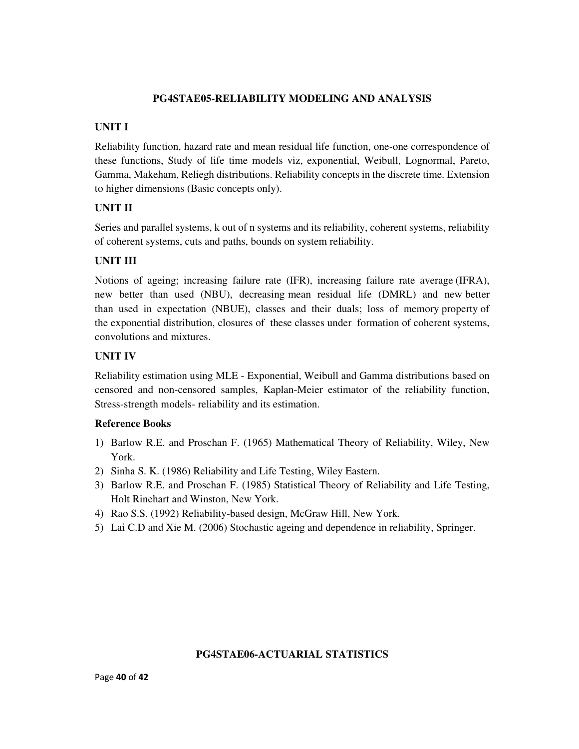## **PG4STAE05-RELIABILITY MODELING AND ANALYSIS**

# **UNIT I**

Reliability function, hazard rate and mean residual life function, one-one correspondence of these functions, Study of life time models viz, exponential, Weibull, Lognormal, Pareto, Gamma, Makeham, Reliegh distributions. Reliability concepts in the discrete time. Extension to higher dimensions (Basic concepts only).

## **UNIT II**

Series and parallel systems, k out of n systems and its reliability, coherent systems, reliability of coherent systems, cuts and paths, bounds on system reliability.

## **UNIT III**

Notions of ageing; increasing failure rate (IFR), increasing failure rate average (IFRA), new better than used (NBU), decreasing mean residual life (DMRL) and new better than used in expectation (NBUE), classes and their duals; loss of memory property of the exponential distribution, closures of these classes under formation of coherent systems, convolutions and mixtures.

## **UNIT IV**

Reliability estimation using MLE - Exponential, Weibull and Gamma distributions based on censored and non-censored samples, Kaplan-Meier estimator of the reliability function, Stress-strength models- reliability and its estimation.

## **Reference Books**

- 1) Barlow R.E. and Proschan F. (1965) Mathematical Theory of Reliability, Wiley, New York.
- 2) Sinha S. K. (1986) Reliability and Life Testing, Wiley Eastern.
- 3) Barlow R.E. and Proschan F. (1985) Statistical Theory of Reliability and Life Testing, Holt Rinehart and Winston, New York.
- 4) Rao S.S. (1992) Reliability-based design, McGraw Hill, New York.
- 5) Lai C.D and Xie M. (2006) Stochastic ageing and dependence in reliability, Springer.

## **PG4STAE06-ACTUARIAL STATISTICS**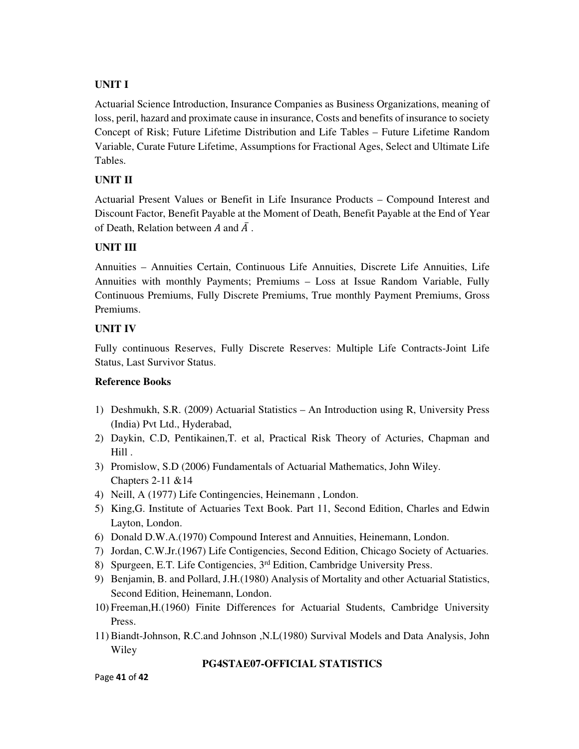## **UNIT I**

Actuarial Science Introduction, Insurance Companies as Business Organizations, meaning of loss, peril, hazard and proximate cause in insurance, Costs and benefits of insurance to society Concept of Risk; Future Lifetime Distribution and Life Tables – Future Lifetime Random Variable, Curate Future Lifetime, Assumptions for Fractional Ages, Select and Ultimate Life Tables.

## **UNIT II**

Actuarial Present Values or Benefit in Life Insurance Products – Compound Interest and Discount Factor, Benefit Payable at the Moment of Death, Benefit Payable at the End of Year of Death, Relation between A and  $\overline{A}$ .

## **UNIT III**

Annuities – Annuities Certain, Continuous Life Annuities, Discrete Life Annuities, Life Annuities with monthly Payments; Premiums – Loss at Issue Random Variable, Fully Continuous Premiums, Fully Discrete Premiums, True monthly Payment Premiums, Gross Premiums.

## **UNIT IV**

Fully continuous Reserves, Fully Discrete Reserves: Multiple Life Contracts-Joint Life Status, Last Survivor Status.

## **Reference Books**

- 1) Deshmukh, S.R. (2009) Actuarial Statistics An Introduction using R, University Press (India) Pvt Ltd., Hyderabad,
- 2) Daykin, C.D, Pentikainen,T. et al, Practical Risk Theory of Acturies, Chapman and Hill .
- 3) Promislow, S.D (2006) Fundamentals of Actuarial Mathematics, John Wiley. Chapters 2-11 &14
- 4) Neill, A (1977) Life Contingencies, Heinemann , London.
- 5) King,G. Institute of Actuaries Text Book. Part 11, Second Edition, Charles and Edwin Layton, London.
- 6) Donald D.W.A.(1970) Compound Interest and Annuities, Heinemann, London.
- 7) Jordan, C.W.Jr.(1967) Life Contigencies, Second Edition, Chicago Society of Actuaries.
- 8) Spurgeen, E.T. Life Contigencies, 3rd Edition, Cambridge University Press.
- 9) Benjamin, B. and Pollard, J.H.(1980) Analysis of Mortality and other Actuarial Statistics, Second Edition, Heinemann, London.
- 10) Freeman,H.(1960) Finite Differences for Actuarial Students, Cambridge University Press.
- 11) Biandt-Johnson, R.C.and Johnson ,N.L(1980) Survival Models and Data Analysis, John Wiley

#### **PG4STAE07-OFFICIAL STATISTICS**

Page **41** of **42**